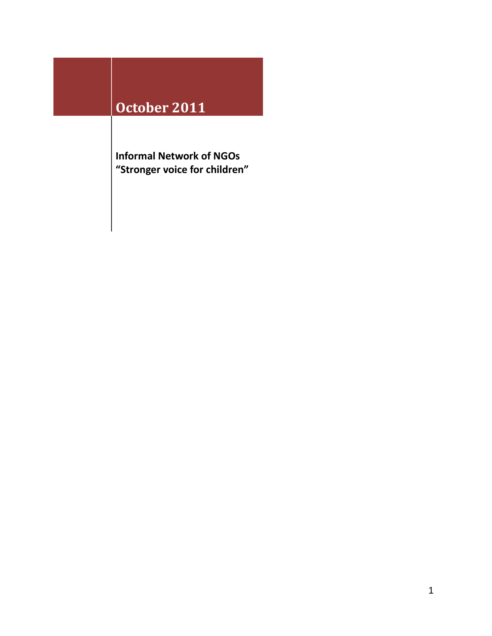## **October 2011**

**Informal Network of NGOs "Stronger voice for children"**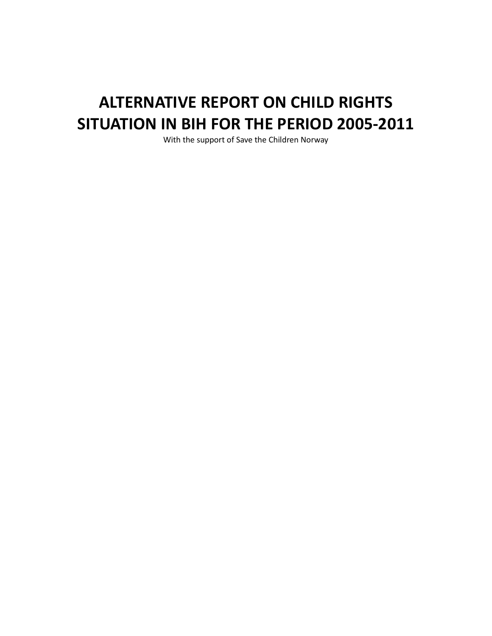# **ALTERNATIVE REPORT ON CHILD RIGHTS SITUATION IN BIH FOR THE PERIOD 2005-2011**

With the support of Save the Children Norway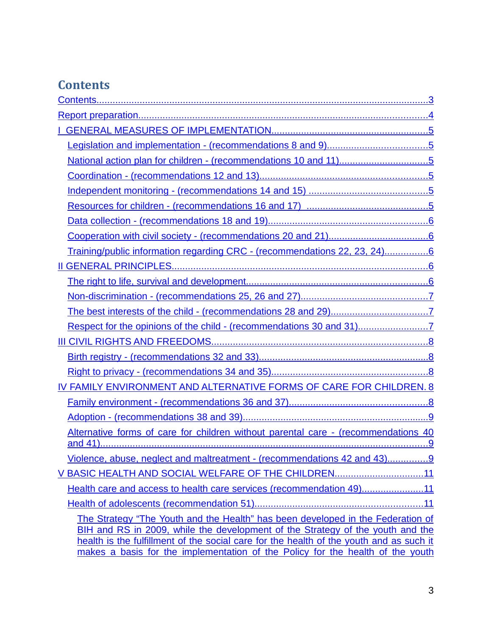## **Contents**

| National action plan for children - (recommendations 10 and 11)5                                                                                                                                                                                             |  |  |
|--------------------------------------------------------------------------------------------------------------------------------------------------------------------------------------------------------------------------------------------------------------|--|--|
|                                                                                                                                                                                                                                                              |  |  |
|                                                                                                                                                                                                                                                              |  |  |
|                                                                                                                                                                                                                                                              |  |  |
|                                                                                                                                                                                                                                                              |  |  |
|                                                                                                                                                                                                                                                              |  |  |
| Training/public information regarding CRC - (recommendations 22, 23, 24)6                                                                                                                                                                                    |  |  |
|                                                                                                                                                                                                                                                              |  |  |
|                                                                                                                                                                                                                                                              |  |  |
|                                                                                                                                                                                                                                                              |  |  |
|                                                                                                                                                                                                                                                              |  |  |
|                                                                                                                                                                                                                                                              |  |  |
|                                                                                                                                                                                                                                                              |  |  |
|                                                                                                                                                                                                                                                              |  |  |
|                                                                                                                                                                                                                                                              |  |  |
| IV FAMILY ENVIRONMENT AND ALTERNATIVE FORMS OF CARE FOR CHILDREN. 8                                                                                                                                                                                          |  |  |
|                                                                                                                                                                                                                                                              |  |  |
|                                                                                                                                                                                                                                                              |  |  |
| Alternative forms of care for children without parental care - (recommendations 40                                                                                                                                                                           |  |  |
| Violence, abuse, neglect and maltreatment - (recommendations 42 and 43)9                                                                                                                                                                                     |  |  |
| V BASIC HEALTH AND SOCIAL WELFARE OF THE CHILDREN11                                                                                                                                                                                                          |  |  |
| Health care and access to health care services (recommendation 49)11                                                                                                                                                                                         |  |  |
|                                                                                                                                                                                                                                                              |  |  |
| The Strategy "The Youth and the Health" has been developed in the Federation of<br>BIH and RS in 2009, while the development of the Strategy of the youth and the<br>health is the fulfillment of the social care for the health of the youth and as such it |  |  |
| makes a basis for the implementation of the Policy for the health of the youth                                                                                                                                                                               |  |  |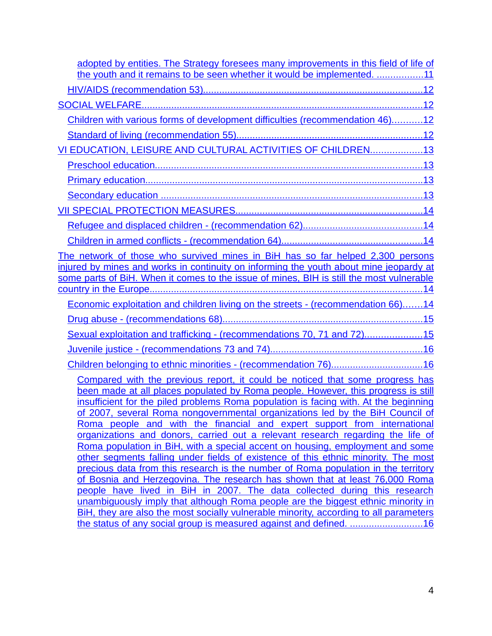| adopted by entities. The Strategy foresees many improvements in this field of life of                                                                                                                                                                                                                                                                                                                                                                                                                                                                                                                                                                                                                                                                                                                                                                                                                                                                                                                                                                                                                            |
|------------------------------------------------------------------------------------------------------------------------------------------------------------------------------------------------------------------------------------------------------------------------------------------------------------------------------------------------------------------------------------------------------------------------------------------------------------------------------------------------------------------------------------------------------------------------------------------------------------------------------------------------------------------------------------------------------------------------------------------------------------------------------------------------------------------------------------------------------------------------------------------------------------------------------------------------------------------------------------------------------------------------------------------------------------------------------------------------------------------|
| the youth and it remains to be seen whether it would be implemented. 11                                                                                                                                                                                                                                                                                                                                                                                                                                                                                                                                                                                                                                                                                                                                                                                                                                                                                                                                                                                                                                          |
|                                                                                                                                                                                                                                                                                                                                                                                                                                                                                                                                                                                                                                                                                                                                                                                                                                                                                                                                                                                                                                                                                                                  |
|                                                                                                                                                                                                                                                                                                                                                                                                                                                                                                                                                                                                                                                                                                                                                                                                                                                                                                                                                                                                                                                                                                                  |
| Children with various forms of development difficulties (recommendation 46)12                                                                                                                                                                                                                                                                                                                                                                                                                                                                                                                                                                                                                                                                                                                                                                                                                                                                                                                                                                                                                                    |
|                                                                                                                                                                                                                                                                                                                                                                                                                                                                                                                                                                                                                                                                                                                                                                                                                                                                                                                                                                                                                                                                                                                  |
| VI EDUCATION, LEISURE AND CULTURAL ACTIVITIES OF CHILDREN13                                                                                                                                                                                                                                                                                                                                                                                                                                                                                                                                                                                                                                                                                                                                                                                                                                                                                                                                                                                                                                                      |
|                                                                                                                                                                                                                                                                                                                                                                                                                                                                                                                                                                                                                                                                                                                                                                                                                                                                                                                                                                                                                                                                                                                  |
|                                                                                                                                                                                                                                                                                                                                                                                                                                                                                                                                                                                                                                                                                                                                                                                                                                                                                                                                                                                                                                                                                                                  |
|                                                                                                                                                                                                                                                                                                                                                                                                                                                                                                                                                                                                                                                                                                                                                                                                                                                                                                                                                                                                                                                                                                                  |
|                                                                                                                                                                                                                                                                                                                                                                                                                                                                                                                                                                                                                                                                                                                                                                                                                                                                                                                                                                                                                                                                                                                  |
|                                                                                                                                                                                                                                                                                                                                                                                                                                                                                                                                                                                                                                                                                                                                                                                                                                                                                                                                                                                                                                                                                                                  |
|                                                                                                                                                                                                                                                                                                                                                                                                                                                                                                                                                                                                                                                                                                                                                                                                                                                                                                                                                                                                                                                                                                                  |
| The network of those who survived mines in BiH has so far helped 2,300 persons<br>injured by mines and works in continuity on informing the youth about mine jeopardy at<br>some parts of BiH. When it comes to the issue of mines, BIH is still the most vulnerable                                                                                                                                                                                                                                                                                                                                                                                                                                                                                                                                                                                                                                                                                                                                                                                                                                             |
| Economic exploitation and children living on the streets - (recommendation 66)14                                                                                                                                                                                                                                                                                                                                                                                                                                                                                                                                                                                                                                                                                                                                                                                                                                                                                                                                                                                                                                 |
|                                                                                                                                                                                                                                                                                                                                                                                                                                                                                                                                                                                                                                                                                                                                                                                                                                                                                                                                                                                                                                                                                                                  |
| Sexual exploitation and trafficking - (recommendations 70, 71 and 72)15                                                                                                                                                                                                                                                                                                                                                                                                                                                                                                                                                                                                                                                                                                                                                                                                                                                                                                                                                                                                                                          |
|                                                                                                                                                                                                                                                                                                                                                                                                                                                                                                                                                                                                                                                                                                                                                                                                                                                                                                                                                                                                                                                                                                                  |
|                                                                                                                                                                                                                                                                                                                                                                                                                                                                                                                                                                                                                                                                                                                                                                                                                                                                                                                                                                                                                                                                                                                  |
| Compared with the previous report, it could be noticed that some progress has<br>been made at all places populated by Roma people. However, this progress is still<br>insufficient for the piled problems Roma population is facing with. At the beginning<br>of 2007, several Roma nongovernmental organizations led by the BiH Council of<br>Roma people and with the financial and expert support from international<br>organizations and donors, carried out a relevant research regarding the life of<br>Roma population in BiH, with a special accent on housing, employment and some<br>other segments falling under fields of existence of this ethnic minority. The most<br>precious data from this research is the number of Roma population in the territory<br>of Bosnia and Herzegovina. The research has shown that at least 76,000 Roma<br>people have lived in BiH in 2007. The data collected during this research<br>unambiguously imply that although Roma people are the biggest ethnic minority in<br>BiH, they are also the most socially vulnerable minority, according to all parameters |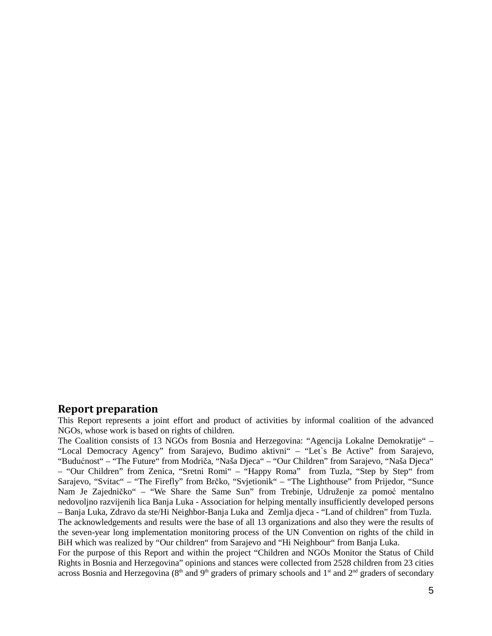## **Report preparation**

This Report represents a joint effort and product of activities by informal coalition of the advanced NGOs, whose work is based on rights of children.

The Coalition consists of 13 NGOs from Bosnia and Herzegovina: "Agencija Lokalne Demokratije" – "Local Democracy Agency" from Sarajevo, Budimo aktivni" – "Let`s Be Active" from Sarajevo, "Budućnost" – "The Future" from Modriča, "Naša Djeca" – "Our Children" from Sarajevo, "Naša Djeca" – "Our Children" from Zenica, "Sretni Romi" – "Happy Roma" from Tuzla, "Step by Step" from Sarajevo, "Svitac" – "The Firefly" from Brčko, "Svjetionik" – "The Lighthouse" from Prijedor, "Sunce Nam Je Zajedničko" – "We Share the Same Sun" from Trebinje, Udruženje za pomoć mentalno nedovoljno razvijenih lica Banja Luka - Association for helping mentally insufficiently developed persons – Banja Luka, Zdravo da ste/Hi Neighbor-Banja Luka and Zemlja djeca - "Land of children" from Tuzla. The acknowledgements and results were the base of all 13 organizations and also they were the results of the seven-year long implementation monitoring process of the UN Convention on rights of the child in BiH which was realized by "Our children" from Sarajevo and "Hi Neighbour" from Banja Luka.

For the purpose of this Report and within the project "Children and NGOs Monitor the Status of Child Rights in Bosnia and Herzegovina" opinions and stances were collected from 2528 children from 23 cities across Bosnia and Herzegovina ( $8<sup>th</sup>$  and  $9<sup>th</sup>$  graders of primary schools and  $1<sup>st</sup>$  and  $2<sup>nd</sup>$  graders of secondary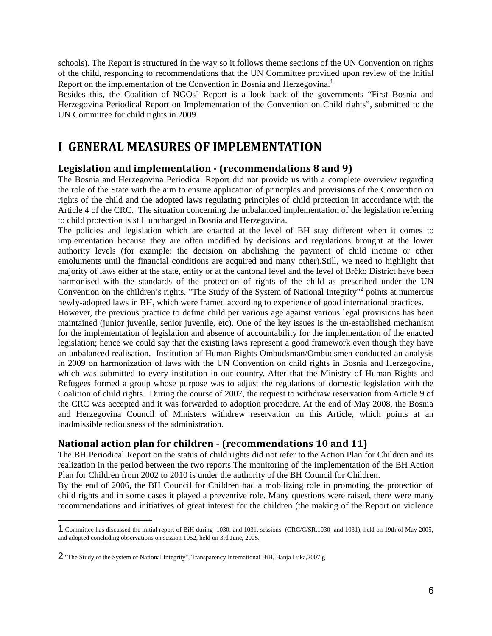schools). The Report is structured in the way so it follows theme sections of the UN Convention on rights of the child, responding to recommendations that the UN Committee provided upon review of the Initial Report on the implementation of the Convention in Bosnia and Herzegovina.<sup>1</sup>

Besides this, the Coalition of NGOs` Report is a look back of the governments "First Bosnia and Herzegovina Periodical Report on Implementation of the Convention on Child rights", submitted to the UN Committee for child rights in 2009.

## **I GENERAL MEASURES OF IMPLEMENTATION**

## **Legislation and implementation - (recommendations 8 and 9)**

The Bosnia and Herzegovina Periodical Report did not provide us with a complete overview regarding the role of the State with the aim to ensure application of principles and provisions of the Convention on rights of the child and the adopted laws regulating principles of child protection in accordance with the Article 4 of the CRC. The situation concerning the unbalanced implementation of the legislation referring to child protection is still unchanged in Bosnia and Herzegovina.

The policies and legislation which are enacted at the level of BH stay different when it comes to implementation because they are often modified by decisions and regulations brought at the lower authority levels (for example: the decision on abolishing the payment of child income or other emoluments until the financial conditions are acquired and many other).Still, we need to highlight that majority of laws either at the state, entity or at the cantonal level and the level of Brčko District have been harmonised with the standards of the protection of rights of the child as prescribed under the UN Convention on the children's rights. "The Study of the System of National Integrity"<sup>2</sup> points at numerous newly-adopted laws in BH, which were framed according to experience of good international practices.

However, the previous practice to define child per various age against various legal provisions has been maintained (junior juvenile, senior juvenile, etc). One of the key issues is the un-established mechanism for the implementation of legislation and absence of accountability for the implementation of the enacted legislation; hence we could say that the existing laws represent a good framework even though they have an unbalanced realisation. Institution of Human Rights Ombudsman/Ombudsmen conducted an analysis in 2009 on harmonization of laws with the UN Convention on child rights in Bosnia and Herzegovina, which was submitted to every institution in our country. After that the Ministry of Human Rights and Refugees formed a group whose purpose was to adjust the regulations of domestic legislation with the Coalition of child rights. During the course of 2007, the request to withdraw reservation from Article 9 of the CRC was accepted and it was forwarded to adoption procedure. At the end of May 2008, the Bosnia and Herzegovina Council of Ministers withdrew reservation on this Article, which points at an inadmissible tediousness of the administration.

## **National action plan for children - (recommendations 10 and 11)**

The BH Periodical Report on the status of child rights did not refer to the Action Plan for Children and its realization in the period between the two reports.The monitoring of the implementation of the BH Action Plan for Children from 2002 to 2010 is under the authority of the BH Council for Children.

By the end of 2006, the BH Council for Children had a mobilizing role in promoting the protection of child rights and in some cases it played a preventive role. Many questions were raised, there were many recommendations and initiatives of great interest for the children (the making of the Report on violence

<sup>1</sup> Committee has discussed the initial report of BiH during 1030. and 1031. sessions (CRC/C/SR.1030 and 1031), held on 19th of May 2005, and adopted concluding observations on session 1052, held on 3rd June, 2005.

<sup>2</sup> "The Study of the System of National Integrity", Transparency International BiH, Banja Luka,2007.g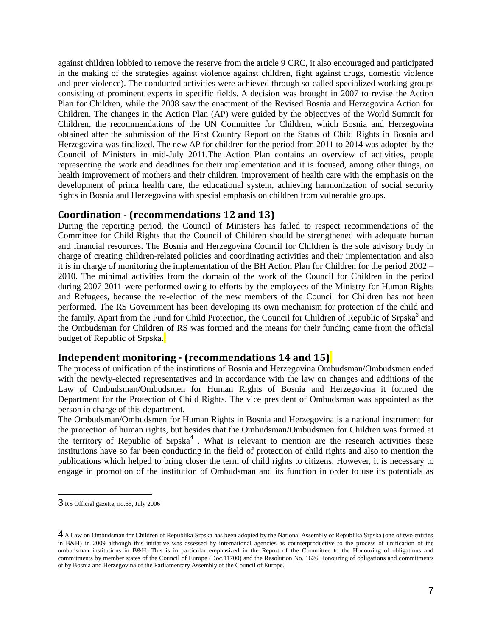against children lobbied to remove the reserve from the article 9 CRC, it also encouraged and participated in the making of the strategies against violence against children, fight against drugs, domestic violence and peer violence). The conducted activities were achieved through so-called specialized working groups consisting of prominent experts in specific fields. A decision was brought in 2007 to revise the Action Plan for Children, while the 2008 saw the enactment of the Revised Bosnia and Herzegovina Action for Children. The changes in the Action Plan (AP) were guided by the objectives of the World Summit for Children, the recommendations of the UN Committee for Children, which Bosnia and Herzegovina obtained after the submission of the First Country Report on the Status of Child Rights in Bosnia and Herzegovina was finalized. The new AP for children for the period from 2011 to 2014 was adopted by the Council of Ministers in mid-July 2011.The Action Plan contains an overview of activities, people representing the work and deadlines for their implementation and it is focused, among other things, on health improvement of mothers and their children, improvement of health care with the emphasis on the development of prima health care, the educational system, achieving harmonization of social security rights in Bosnia and Herzegovina with special emphasis on children from vulnerable groups.

#### **Coordination - (recommendations 12 and 13)**

During the reporting period, the Council of Ministers has failed to respect recommendations of the Committee for Child Rights that the Council of Children should be strengthened with adequate human and financial resources. The Bosnia and Herzegovina Council for Children is the sole advisory body in charge of creating children-related policies and coordinating activities and their implementation and also it is in charge of monitoring the implementation of the BH Action Plan for Children for the period 2002 – 2010. The minimal activities from the domain of the work of the Council for Children in the period during 2007-2011 were performed owing to efforts by the employees of the Ministry for Human Rights and Refugees, because the re-election of the new members of the Council for Children has not been performed. The RS Government has been developing its own mechanism for protection of the child and the family. Apart from the Fund for Child Protection, the Council for Children of Republic of Srpska<sup>3</sup> and the Ombudsman for Children of RS was formed and the means for their funding came from the official budget of Republic of Srpska.

#### **Independent monitoring - (recommendations 14 and 15)**

The process of unification of the institutions of Bosnia and Herzegovina Ombudsman/Ombudsmen ended with the newly-elected representatives and in accordance with the law on changes and additions of the Law of Ombudsman/Ombudsmen for Human Rights of Bosnia and Herzegovina it formed the Department for the Protection of Child Rights. The vice president of Ombudsman was appointed as the person in charge of this department.

The Ombudsman/Ombudsmen for Human Rights in Bosnia and Herzegovina is a national instrument for the protection of human rights, but besides that the Ombudsman/Ombudsmen for Children was formed at the territory of Republic of Srpska<sup>4</sup>. What is relevant to mention are the research activities these institutions have so far been conducting in the field of protection of child rights and also to mention the publications which helped to bring closer the term of child rights to citizens. However, it is necessary to engage in promotion of the institution of Ombudsman and its function in order to use its potentials as

<sup>3</sup> RS Official gazette, no.66, July 2006

<sup>4</sup> A Law on Ombudsman for Children of Republika Srpska has been adopted by the National Assembly of Republika Srpska (one of two entities in B&H) in 2009 although this initiative was assessed by international agencies as counterproductive to the process of unification of the ombudsman institutions in B&H. This is in particular emphasized in the Report of the Committee to the Honouring of obligations and commitments by member states of the Council of Europe (Doc.11700) and the Resolution No. 1626 Honouring of obligations and commitments of by Bosnia and Herzegovina of the Parliamentary Assembly of the Council of Europe.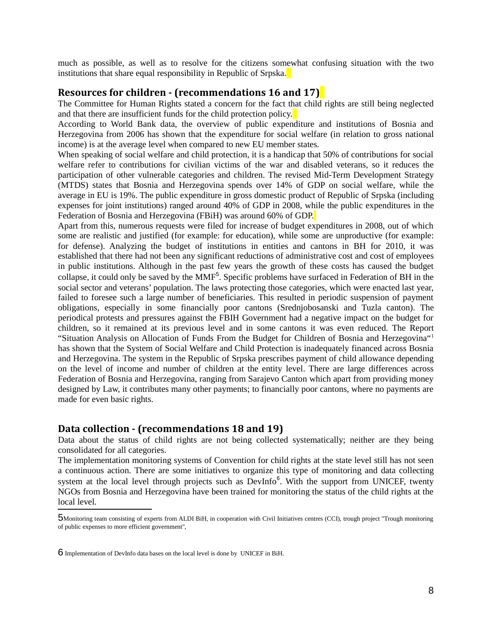much as possible, as well as to resolve for the citizens somewhat confusing situation with the two institutions that share equal responsibility in Republic of Srpska.

#### **Resources for children - (recommendations 16 and 17)**

The Committee for Human Rights stated a concern for the fact that child rights are still being neglected and that there are insufficient funds for the child protection policy.

According to World Bank data, the overview of public expenditure and institutions of Bosnia and Herzegovina from 2006 has shown that the expenditure for social welfare (in relation to gross national income) is at the average level when compared to new EU member states.

When speaking of social welfare and child protection, it is a handicap that 50% of contributions for social welfare refer to contributions for civilian victims of the war and disabled veterans, so it reduces the participation of other vulnerable categories and children. The revised Mid-Term Development Strategy (MTDS) states that Bosnia and Herzegovina spends over 14% of GDP on social welfare, while the average in EU is 19%. The public expenditure in gross domestic product of Republic of Srpska (including expenses for joint institutions) ranged around 40% of GDP in 2008, while the public expenditures in the Federation of Bosnia and Herzegovina (FBiH) was around 60% of GDP.

Apart from this, numerous requests were filed for increase of budget expenditures in 2008, out of which some are realistic and justified (for example: for education), while some are unproductive (for example: for defense). Analyzing the budget of institutions in entities and cantons in BH for 2010, it was established that there had not been any significant reductions of administrative cost and cost of employees in public institutions. Although in the past few years the growth of these costs has caused the budget collapse, it could only be saved by the MMF<sup>5</sup>. Specific problems have surfaced in Federation of BH in the social sector and veterans' population. The laws protecting those categories, which were enacted last year, failed to foresee such a large number of beneficiaries. This resulted in periodic suspension of payment obligations, especially in some financially poor cantons (Srednjobosanski and Tuzla canton). The periodical protests and pressures against the FBIH Government had a negative impact on the budget for children, so it remained at its previous level and in some cantons it was even reduced. The Report "Situation Analysis on Allocation of Funds From the Budget for Children of Bosnia and Herzegovina"<sup>1</sup> has shown that the System of Social Welfare and Child Protection is inadequately financed across Bosnia and Herzegovina. The system in the Republic of Srpska prescribes payment of child allowance depending on the level of income and number of children at the entity level. There are large differences across Federation of Bosnia and Herzegovina, ranging from Sarajevo Canton which apart from providing money designed by Law, it contributes many other payments; to financially poor cantons, where no payments are made for even basic rights.

#### **Data collection - (recommendations 18 and 19)**

Data about the status of child rights are not being collected systematically; neither are they being consolidated for all categories.

The implementation monitoring systems of Convention for child rights at the state level still has not seen a continuous action. There are some initiatives to organize this type of monitoring and data collecting system at the local level through projects such as DevInfo<sup>6</sup>. With the support from UNICEF, twenty NGOs from Bosnia and Herzegovina have been trained for monitoring the status of the child rights at the local level.

<sup>5</sup>Monitoring team consisting of experts from ALDI BiH, in cooperation with Civil Initiatives centres (CCI), trough project ''Trough monitoring of public expenses to more efficient government'',

<sup>6</sup> Implementation of DevInfo data bases on the local level is done by UNICEF in BiH.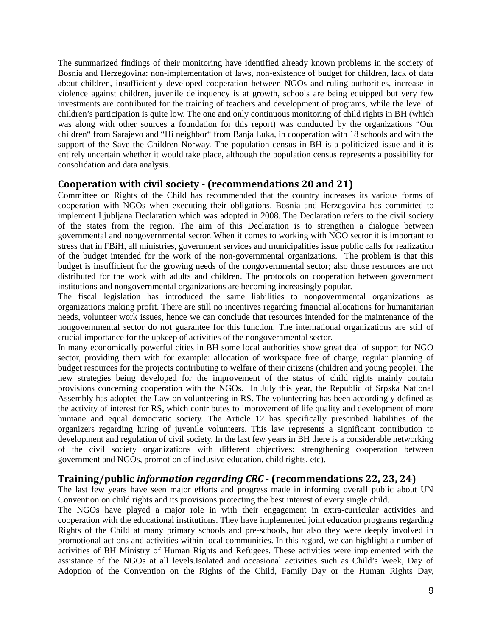The summarized findings of their monitoring have identified already known problems in the society of Bosnia and Herzegovina: non-implementation of laws, non-existence of budget for children, lack of data about children, insufficiently developed cooperation between NGOs and ruling authorities, increase in violence against children, juvenile delinquency is at growth, schools are being equipped but very few investments are contributed for the training of teachers and development of programs, while the level of children's participation is quite low. The one and only continuous monitoring of child rights in BH (which was along with other sources a foundation for this report) was conducted by the organizations "Our children" from Sarajevo and "Hi neighbor" from Banja Luka, in cooperation with 18 schools and with the support of the Save the Children Norway. The population census in BH is a politicized issue and it is entirely uncertain whether it would take place, although the population census represents a possibility for consolidation and data analysis.

## **Cooperation with civil society - (recommendations 20 and 21)**

Committee on Rights of the Child has recommended that the country increases its various forms of cooperation with NGOs when executing their obligations. Bosnia and Herzegovina has committed to implement Ljubljana Declaration which was adopted in 2008. The Declaration refers to the civil society of the states from the region. The aim of this Declaration is to strengthen a dialogue between governmental and nongovernmental sector. When it comes to working with NGO sector it is important to stress that in FBiH, all ministries, government services and municipalities issue public calls for realization of the budget intended for the work of the non-governmental organizations. The problem is that this budget is insufficient for the growing needs of the nongovernmental sector; also those resources are not distributed for the work with adults and children. The protocols on cooperation between government institutions and nongovernmental organizations are becoming increasingly popular.

The fiscal legislation has introduced the same liabilities to nongovernmental organizations as organizations making profit. There are still no incentives regarding financial allocations for humanitarian needs, volunteer work issues, hence we can conclude that resources intended for the maintenance of the nongovernmental sector do not guarantee for this function. The international organizations are still of crucial importance for the upkeep of activities of the nongovernmental sector.

In many economically powerful cities in BH some local authorities show great deal of support for NGO sector, providing them with for example: allocation of workspace free of charge, regular planning of budget resources for the projects contributing to welfare of their citizens (children and young people). The new strategies being developed for the improvement of the status of child rights mainly contain provisions concerning cooperation with the NGOs. In July this year, the Republic of Srpska National Assembly has adopted the Law on volunteering in RS. The volunteering has been accordingly defined as the activity of interest for RS, which contributes to improvement of life quality and development of more humane and equal democratic society. The Article 12 has specifically prescribed liabilities of the organizers regarding hiring of juvenile volunteers. This law represents a significant contribution to development and regulation of civil society. In the last few years in BH there is a considerable networking of the civil society organizations with different objectives: strengthening cooperation between government and NGOs, promotion of inclusive education, child rights, etc).

## **Training/public** *information regarding CRC* **- (recommendations 22, 23, 24)**

The last few years have seen major efforts and progress made in informing overall public about UN Convention on child rights and its provisions protecting the best interest of every single child.

The NGOs have played a major role in with their engagement in extra-curricular activities and cooperation with the educational institutions. They have implemented joint education programs regarding Rights of the Child at many primary schools and pre-schools, but also they were deeply involved in promotional actions and activities within local communities. In this regard, we can highlight a number of activities of BH Ministry of Human Rights and Refugees. These activities were implemented with the assistance of the NGOs at all levels.Isolated and occasional activities such as Child's Week, Day of Adoption of the Convention on the Rights of the Child, Family Day or the Human Rights Day,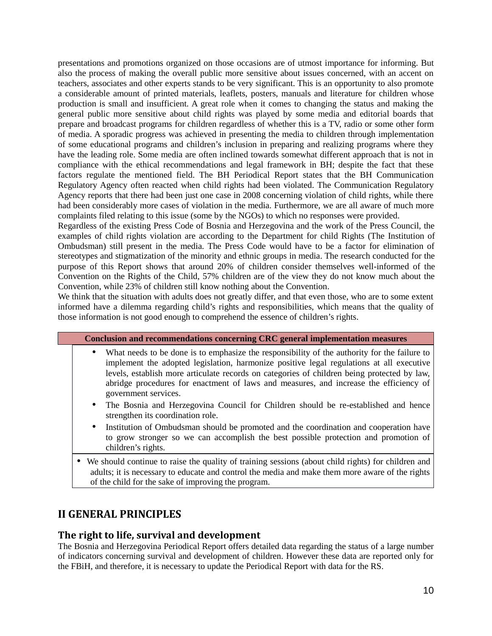presentations and promotions organized on those occasions are of utmost importance for informing. But also the process of making the overall public more sensitive about issues concerned, with an accent on teachers, associates and other experts stands to be very significant. This is an opportunity to also promote a considerable amount of printed materials, leaflets, posters, manuals and literature for children whose production is small and insufficient. A great role when it comes to changing the status and making the general public more sensitive about child rights was played by some media and editorial boards that prepare and broadcast programs for children regardless of whether this is a TV, radio or some other form of media. A sporadic progress was achieved in presenting the media to children through implementation of some educational programs and children's inclusion in preparing and realizing programs where they have the leading role. Some media are often inclined towards somewhat different approach that is not in compliance with the ethical recommendations and legal framework in BH; despite the fact that these factors regulate the mentioned field. The BH Periodical Report states that the BH Communication Regulatory Agency often reacted when child rights had been violated. The Communication Regulatory Agency reports that there had been just one case in 2008 concerning violation of child rights, while there had been considerably more cases of violation in the media. Furthermore, we are all aware of much more complaints filed relating to this issue (some by the NGOs) to which no responses were provided.

Regardless of the existing Press Code of Bosnia and Herzegovina and the work of the Press Council, the examples of child rights violation are according to the Department for child Rights (The Institution of Ombudsman) still present in the media. The Press Code would have to be a factor for elimination of stereotypes and stigmatization of the minority and ethnic groups in media. The research conducted for the purpose of this Report shows that around 20% of children consider themselves well-informed of the Convention on the Rights of the Child, 57% children are of the view they do not know much about the Convention, while 23% of children still know nothing about the Convention.

We think that the situation with adults does not greatly differ, and that even those, who are to some extent informed have a dilemma regarding child's rights and responsibilities, which means that the quality of those information is not good enough to comprehend the essence of children's rights.

| <b>Conclusion and recommendations concerning CRC general implementation measures</b>                                                                                                                                                                                                                                                                                                                                  |
|-----------------------------------------------------------------------------------------------------------------------------------------------------------------------------------------------------------------------------------------------------------------------------------------------------------------------------------------------------------------------------------------------------------------------|
| What needs to be done is to emphasize the responsibility of the authority for the failure to<br>$\bullet$<br>implement the adopted legislation, harmonize positive legal regulations at all executive<br>levels, establish more articulate records on categories of children being protected by law,<br>abridge procedures for enactment of laws and measures, and increase the efficiency of<br>government services. |
| The Bosnia and Herzegovina Council for Children should be re-established and hence<br>$\bullet$<br>strengthen its coordination role.                                                                                                                                                                                                                                                                                  |

- Institution of Ombudsman should be promoted and the coordination and cooperation have to grow stronger so we can accomplish the best possible protection and promotion of children's rights.
- We should continue to raise the quality of training sessions (about child rights) for children and adults; it is necessary to educate and control the media and make them more aware of the rights of the child for the sake of improving the program.

## **II GENERAL PRINCIPLES**

## **The right to life, survival and development**

The Bosnia and Herzegovina Periodical Report offers detailed data regarding the status of a large number of indicators concerning survival and development of children. However these data are reported only for the FBiH, and therefore, it is necessary to update the Periodical Report with data for the RS.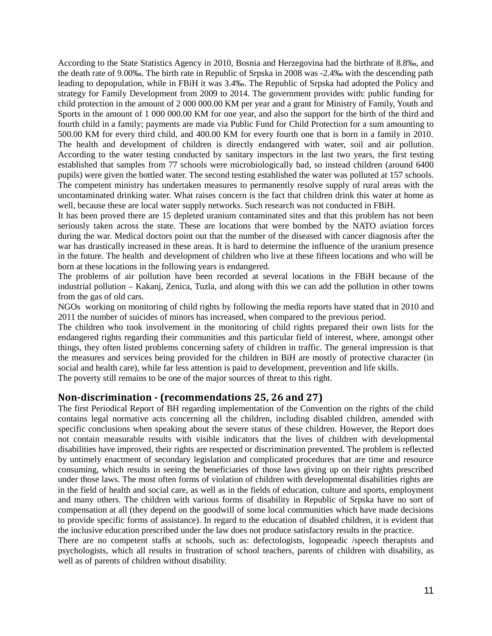According to the State Statistics Agency in 2010, Bosnia and Herzegovina had the birthrate of 8.8‰, and the death rate of 9.00‰. The birth rate in Republic of Srpska in 2008 was -2.4‰ with the descending path leading to depopulation, while in FBiH it was 3.4‰. The Republic of Srpska had adopted the Policy and strategy for Family Development from 2009 to 2014. The government provides with: public funding for child protection in the amount of 2 000 000.00 KM per year and a grant for Ministry of Family, Youth and Sports in the amount of 1 000 000.00 KM for one year, and also the support for the birth of the third and fourth child in a family; payments are made via Public Fund for Child Protection for a sum amounting to 500.00 KM for every third child, and 400.00 KM for every fourth one that is born in a family in 2010. The health and development of children is directly endangered with water, soil and air pollution. According to the water testing conducted by sanitary inspectors in the last two years, the first testing established that samples from 77 schools were microbiologically bad, so instead children (around 6400 pupils) were given the bottled water. The second testing established the water was polluted at 157 schools. The competent ministry has undertaken measures to permanently resolve supply of rural areas with the uncontaminated drinking water. What raises concern is the fact that children drink this water at home as well, because these are local water supply networks. Such research was not conducted in FBiH.

It has been proved there are 15 depleted uranium contaminated sites and that this problem has not been seriously taken across the state. These are locations that were bombed by the NATO aviation forces during the war. Medical doctors point out that the number of the diseased with cancer diagnosis after the war has drastically increased in these areas. It is hard to determine the influence of the uranium presence in the future. The health and development of children who live at these fifteen locations and who will be born at these locations in the following years is endangered.

The problems of air pollution have been recorded at several locations in the FBiH because of the industrial pollution – Kakanj, Zenica, Tuzla, and along with this we can add the pollution in other towns from the gas of old cars.

NGOs working on monitoring of child rights by following the media reports have stated that in 2010 and 2011 the number of suicides of minors has increased, when compared to the previous period.

The children who took involvement in the monitoring of child rights prepared their own lists for the endangered rights regarding their communities and this particular field of interest, where, amongst other things, they often listed problems concerning safety of children in traffic. The general impression is that the measures and services being provided for the children in BiH are mostly of protective character (in social and health care), while far less attention is paid to development, prevention and life skills. The poverty still remains to be one of the major sources of threat to this right.

#### **Non-discrimination - (recommendations 25, 26 and 27)**

The first Periodical Report of BH regarding implementation of the Convention on the rights of the child contains legal normative acts concerning all the children, including disabled children, amended with specific conclusions when speaking about the severe status of these children. However, the Report does not contain measurable results with visible indicators that the lives of children with developmental disabilities have improved, their rights are respected or discrimination prevented. The problem is reflected by untimely enactment of secondary legislation and complicated procedures that are time and resource consuming, which results in seeing the beneficiaries of those laws giving up on their rights prescribed under those laws. The most often forms of violation of children with developmental disabilities rights are in the field of health and social care, as well as in the fields of education, culture and sports, employment and many others. The children with various forms of disability in Republic of Srpska have no sort of compensation at all (they depend on the goodwill of some local communities which have made decisions to provide specific forms of assistance). In regard to the education of disabled children, it is evident that the inclusive education prescribed under the law does not produce satisfactory results in the practice.

There are no competent staffs at schools, such as: defectologists, logopeadic /speech therapists and psychologists, which all results in frustration of school teachers, parents of children with disability, as well as of parents of children without disability.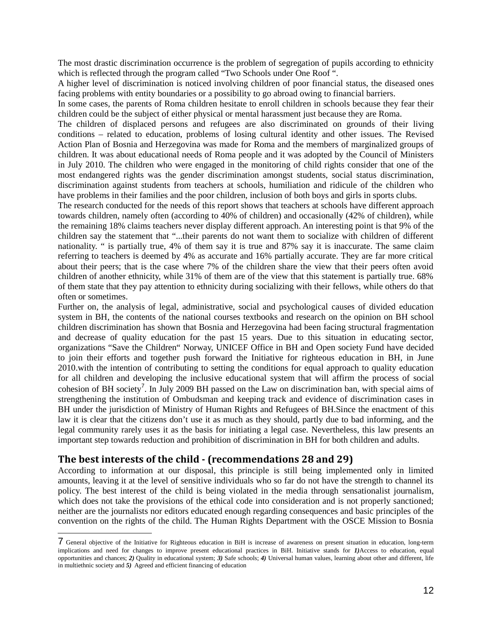The most drastic discrimination occurrence is the problem of segregation of pupils according to ethnicity which is reflected through the program called "Two Schools under One Roof ".

A higher level of discrimination is noticed involving children of poor financial status, the diseased ones facing problems with entity boundaries or a possibility to go abroad owing to financial barriers.

In some cases, the parents of Roma children hesitate to enroll children in schools because they fear their children could be the subject of either physical or mental harassment just because they are Roma.

The children of displaced persons and refugees are also discriminated on grounds of their living conditions – related to education, problems of losing cultural identity and other issues. The Revised Action Plan of Bosnia and Herzegovina was made for Roma and the members of marginalized groups of children. It was about educational needs of Roma people and it was adopted by the Council of Ministers in July 2010. The children who were engaged in the monitoring of child rights consider that one of the most endangered rights was the gender discrimination amongst students, social status discrimination, discrimination against students from teachers at schools, humiliation and ridicule of the children who have problems in their families and the poor children, inclusion of both boys and girls in sports clubs.

The research conducted for the needs of this report shows that teachers at schools have different approach towards children, namely often (according to 40% of children) and occasionally (42% of children), while the remaining 18% claims teachers never display different approach. An interesting point is that 9% of the children say the statement that "...their parents do not want them to socialize with children of different nationality. " is partially true, 4% of them say it is true and 87% say it is inaccurate. The same claim referring to teachers is deemed by 4% as accurate and 16% partially accurate. They are far more critical about their peers; that is the case where 7% of the children share the view that their peers often avoid children of another ethnicity, while 31% of them are of the view that this statement is partially true. 68% of them state that they pay attention to ethnicity during socializing with their fellows, while others do that often or sometimes.

Further on, the analysis of legal, administrative, social and psychological causes of divided education system in BH, the contents of the national courses textbooks and research on the opinion on BH school children discrimination has shown that Bosnia and Herzegovina had been facing structural fragmentation and decrease of quality education for the past 15 years. Due to this situation in educating sector, organizations "Save the Children" Norway, UNICEF Office in BH and Open society Fund have decided to join their efforts and together push forward the Initiative for righteous education in BH, in June 2010.with the intention of contributing to setting the conditions for equal approach to quality education for all children and developing the inclusive educational system that will affirm the process of social cohesion of BH society<sup>7</sup>. In July 2009 BH passed on the Law on discrimination ban, with special aims of strengthening the institution of Ombudsman and keeping track and evidence of discrimination cases in BH under the jurisdiction of Ministry of Human Rights and Refugees of BH.Since the enactment of this law it is clear that the citizens don't use it as much as they should, partly due to bad informing, and the legal community rarely uses it as the basis for initiating a legal case. Nevertheless, this law presents an important step towards reduction and prohibition of discrimination in BH for both children and adults.

#### **The best interests of the child - (recommendations 28 and 29)**

According to information at our disposal, this principle is still being implemented only in limited amounts, leaving it at the level of sensitive individuals who so far do not have the strength to channel its policy. The best interest of the child is being violated in the media through sensationalist journalism, which does not take the provisions of the ethical code into consideration and is not properly sanctioned; neither are the journalists nor editors educated enough regarding consequences and basic principles of the convention on the rights of the child. The Human Rights Department with the OSCE Mission to Bosnia

<sup>7</sup> General objective of the Initiative for Righteous education in BiH is increase of awareness on present situation in education, long-term implications and need for changes to improve present educational practices in BiH. Initiative stands for *1)*Access to education, equal opportunities and chances; *2)* Quality in educational system; *3)* Safe schools; *4)* Universal human values, learning about other and different, life in multiethnic society and *5)* Agreed and efficient financing of education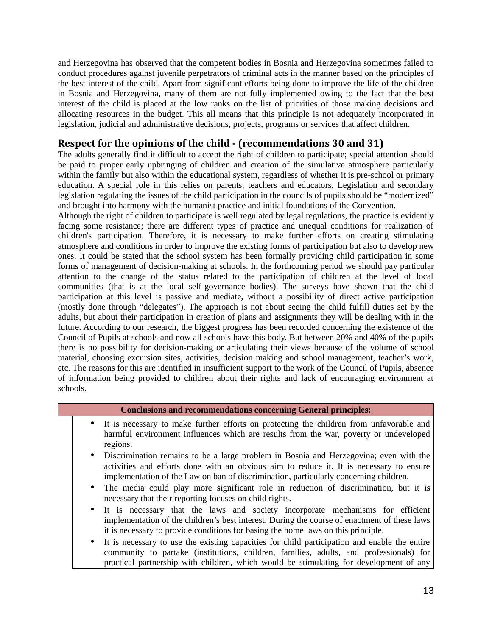and Herzegovina has observed that the competent bodies in Bosnia and Herzegovina sometimes failed to conduct procedures against juvenile perpetrators of criminal acts in the manner based on the principles of the best interest of the child. Apart from significant efforts being done to improve the life of the children in Bosnia and Herzegovina, many of them are not fully implemented owing to the fact that the best interest of the child is placed at the low ranks on the list of priorities of those making decisions and allocating resources in the budget. This all means that this principle is not adequately incorporated in legislation, judicial and administrative decisions, projects, programs or services that affect children.

## **Respect for the opinions of the child - (recommendations 30 and 31)**

The adults generally find it difficult to accept the right of children to participate; special attention should be paid to proper early upbringing of children and creation of the simulative atmosphere particularly within the family but also within the educational system, regardless of whether it is pre-school or primary education. A special role in this relies on parents, teachers and educators. Legislation and secondary legislation regulating the issues of the child participation in the councils of pupils should be "modernized" and brought into harmony with the humanist practice and initial foundations of the Convention.

Although the right of children to participate is well regulated by legal regulations, the practice is evidently facing some resistance; there are different types of practice and unequal conditions for realization of children's participation. Therefore, it is necessary to make further efforts on creating stimulating atmosphere and conditions in order to improve the existing forms of participation but also to develop new ones. It could be stated that the school system has been formally providing child participation in some forms of management of decision-making at schools. In the forthcoming period we should pay particular attention to the change of the status related to the participation of children at the level of local communities (that is at the local self-governance bodies). The surveys have shown that the child participation at this level is passive and mediate, without a possibility of direct active participation (mostly done through "delegates"). The approach is not about seeing the child fulfill duties set by the adults, but about their participation in creation of plans and assignments they will be dealing with in the future. According to our research, the biggest progress has been recorded concerning the existence of the Council of Pupils at schools and now all schools have this body. But between 20% and 40% of the pupils there is no possibility for decision-making or articulating their views because of the volume of school material, choosing excursion sites, activities, decision making and school management, teacher's work, etc. The reasons for this are identified in insufficient support to the work of the Council of Pupils, absence of information being provided to children about their rights and lack of encouraging environment at schools.

#### **Conclusions and recommendations concerning General principles:**

- It is necessary to make further efforts on protecting the children from unfavorable and harmful environment influences which are results from the war, poverty or undeveloped regions.
- Discrimination remains to be a large problem in Bosnia and Herzegovina; even with the activities and efforts done with an obvious aim to reduce it. It is necessary to ensure implementation of the Law on ban of discrimination, particularly concerning children.
- The media could play more significant role in reduction of discrimination, but it is necessary that their reporting focuses on child rights.
- It is necessary that the laws and society incorporate mechanisms for efficient implementation of the children's best interest. During the course of enactment of these laws it is necessary to provide conditions for basing the home laws on this principle.
- It is necessary to use the existing capacities for child participation and enable the entire community to partake (institutions, children, families, adults, and professionals) for practical partnership with children, which would be stimulating for development of any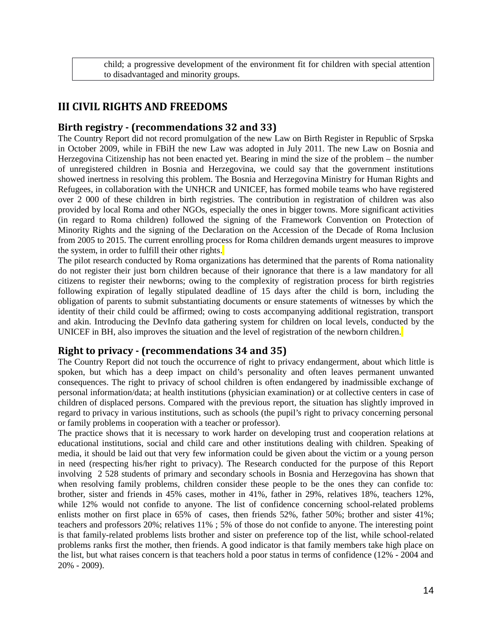child; a progressive development of the environment fit for children with special attention to disadvantaged and minority groups.

## **III CIVIL RIGHTS AND FREEDOMS**

#### **Birth registry - (recommendations 32 and 33)**

The Country Report did not record promulgation of the new Law on Birth Register in Republic of Srpska in October 2009, while in FBiH the new Law was adopted in July 2011. The new Law on Bosnia and Herzegovina Citizenship has not been enacted yet. Bearing in mind the size of the problem – the number of unregistered children in Bosnia and Herzegovina, we could say that the government institutions showed inertness in resolving this problem. The Bosnia and Herzegovina Ministry for Human Rights and Refugees, in collaboration with the UNHCR and UNICEF, has formed mobile teams who have registered over 2 000 of these children in birth registries. The contribution in registration of children was also provided by local Roma and other NGOs, especially the ones in bigger towns. More significant activities (in regard to Roma children) followed the signing of the Framework Convention on Protection of Minority Rights and the signing of the Declaration on the Accession of the Decade of Roma Inclusion from 2005 to 2015. The current enrolling process for Roma children demands urgent measures to improve the system, in order to fulfill their other rights.

The pilot research conducted by Roma organizations has determined that the parents of Roma nationality do not register their just born children because of their ignorance that there is a law mandatory for all citizens to register their newborns; owing to the complexity of registration process for birth registries following expiration of legally stipulated deadline of 15 days after the child is born, including the obligation of parents to submit substantiating documents or ensure statements of witnesses by which the identity of their child could be affirmed; owing to costs accompanying additional registration, transport and akin. Introducing the DevInfo data gathering system for children on local levels, conducted by the UNICEF in BH, also improves the situation and the level of registration of the newborn children.

## **Right to privacy - (recommendations 34 and 35)**

The Country Report did not touch the occurrence of right to privacy endangerment, about which little is spoken, but which has a deep impact on child's personality and often leaves permanent unwanted consequences. The right to privacy of school children is often endangered by inadmissible exchange of personal information/data; at health institutions (physician examination) or at collective centers in case of children of displaced persons. Compared with the previous report, the situation has slightly improved in regard to privacy in various institutions, such as schools (the pupil's right to privacy concerning personal or family problems in cooperation with a teacher or professor).

The practice shows that it is necessary to work harder on developing trust and cooperation relations at educational institutions, social and child care and other institutions dealing with children. Speaking of media, it should be laid out that very few information could be given about the victim or a young person in need (respecting his/her right to privacy). The Research conducted for the purpose of this Report involving 2 528 students of primary and secondary schools in Bosnia and Herzegovina has shown that when resolving family problems, children consider these people to be the ones they can confide to: brother, sister and friends in 45% cases, mother in 41%, father in 29%, relatives 18%, teachers 12%, while 12% would not confide to anyone. The list of confidence concerning school-related problems enlists mother on first place in 65% of cases, then friends 52%, father 50%; brother and sister 41%; teachers and professors 20%; relatives 11% ; 5% of those do not confide to anyone. The interesting point is that family-related problems lists brother and sister on preference top of the list, while school-related problems ranks first the mother, then friends. A good indicator is that family members take high place on the list, but what raises concern is that teachers hold a poor status in terms of confidence (12% - 2004 and 20% - 2009).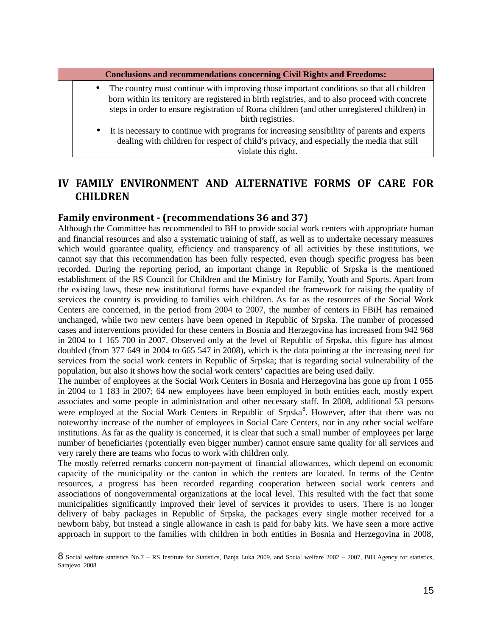**Conclusions and recommendations concerning Civil Rights and Freedoms:**

- The country must continue with improving those important conditions so that all children born within its territory are registered in birth registries, and to also proceed with concrete steps in order to ensure registration of Roma children (and other unregistered children) in birth registries.
- It is necessary to continue with programs for increasing sensibility of parents and experts dealing with children for respect of child's privacy, and especially the media that still violate this right.

## **IV FAMILY ENVIRONMENT AND ALTERNATIVE FORMS OF CARE FOR CHILDREN**

#### **Family environment - (recommendations 36 and 37)**

Although the Committee has recommended to BH to provide social work centers with appropriate human and financial resources and also a systematic training of staff, as well as to undertake necessary measures which would guarantee quality, efficiency and transparency of all activities by these institutions, we cannot say that this recommendation has been fully respected, even though specific progress has been recorded. During the reporting period, an important change in Republic of Srpska is the mentioned establishment of the RS Council for Children and the Ministry for Family, Youth and Sports. Apart from the existing laws, these new institutional forms have expanded the framework for raising the quality of services the country is providing to families with children. As far as the resources of the Social Work Centers are concerned, in the period from 2004 to 2007, the number of centers in FBiH has remained unchanged, while two new centers have been opened in Republic of Srpska. The number of processed cases and interventions provided for these centers in Bosnia and Herzegovina has increased from 942 968 in 2004 to 1 165 700 in 2007. Observed only at the level of Republic of Srpska, this figure has almost doubled (from 377 649 in 2004 to 665 547 in 2008), which is the data pointing at the increasing need for services from the social work centers in Republic of Srpska; that is regarding social vulnerability of the population, but also it shows how the social work centers' capacities are being used daily.

The number of employees at the Social Work Centers in Bosnia and Herzegovina has gone up from 1 055 in 2004 to 1 183 in 2007; 64 new employees have been employed in both entities each, mostly expert associates and some people in administration and other necessary staff. In 2008, additional 53 persons were employed at the Social Work Centers in Republic of Srpska<sup>8</sup>. However, after that there was no noteworthy increase of the number of employees in Social Care Centers, nor in any other social welfare institutions. As far as the quality is concerned, it is clear that such a small number of employees per large number of beneficiaries (potentially even bigger number) cannot ensure same quality for all services and very rarely there are teams who focus to work with children only.

The mostly referred remarks concern non-payment of financial allowances, which depend on economic capacity of the municipality or the canton in which the centers are located. In terms of the Centre resources, a progress has been recorded regarding cooperation between social work centers and associations of nongovernmental organizations at the local level. This resulted with the fact that some municipalities significantly improved their level of services it provides to users. There is no longer delivery of baby packages in Republic of Srpska, the packages every single mother received for a newborn baby, but instead a single allowance in cash is paid for baby kits. We have seen a more active approach in support to the families with children in both entities in Bosnia and Herzegovina in 2008,

<sup>8</sup> Social welfare statistics No.7 – RS Institute for Statistics, Banja Luka 2009, and Social welfare 2002 – 2007, BiH Agency for statistics, Sarajevo 2008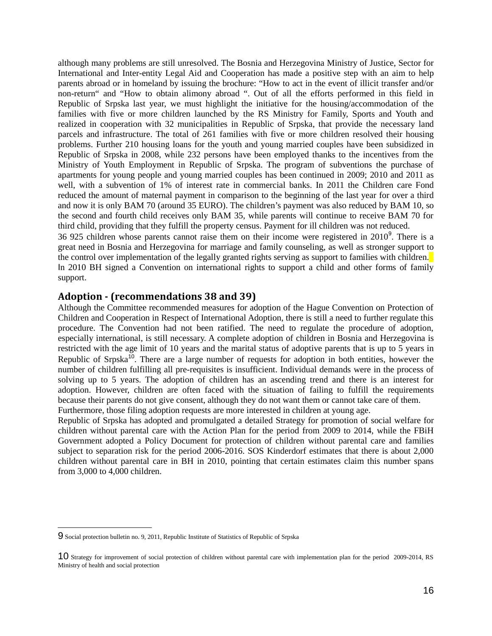although many problems are still unresolved. The Bosnia and Herzegovina Ministry of Justice, Sector for International and Inter-entity Legal Aid and Cooperation has made a positive step with an aim to help parents abroad or in homeland by issuing the brochure: "How to act in the event of illicit transfer and/or non-return" and "How to obtain alimony abroad ". Out of all the efforts performed in this field in Republic of Srpska last year, we must highlight the initiative for the housing/accommodation of the families with five or more children launched by the RS Ministry for Family, Sports and Youth and realized in cooperation with 32 municipalities in Republic of Srpska, that provide the necessary land parcels and infrastructure. The total of 261 families with five or more children resolved their housing problems. Further 210 housing loans for the youth and young married couples have been subsidized in Republic of Srpska in 2008, while 232 persons have been employed thanks to the incentives from the Ministry of Youth Employment in Republic of Srpska. The program of subventions the purchase of apartments for young people and young married couples has been continued in 2009; 2010 and 2011 as well, with a subvention of 1% of interest rate in commercial banks. In 2011 the Children care Fond reduced the amount of maternal payment in comparison to the beginning of the last year for over a third and now it is only BAM 70 (around 35 EURO). The children's payment was also reduced by BAM 10, so the second and fourth child receives only BAM 35, while parents will continue to receive BAM 70 for third child, providing that they fulfill the property census. Payment for ill children was not reduced.

36 925 children whose parents cannot raise them on their income were registered in  $2010^9$ . There is a great need in Bosnia and Herzegovina for marriage and family counseling, as well as stronger support to the control over implementation of the legally granted rights serving as support to families with children. In 2010 BH signed a Convention on international rights to support a child and other forms of family support.

#### **Adoption - (recommendations 38 and 39)**

Although the Committee recommended measures for adoption of the Hague Convention on Protection of Children and Cooperation in Respect of International Adoption, there is still a need to further regulate this procedure. The Convention had not been ratified. The need to regulate the procedure of adoption, especially international, is still necessary. A complete adoption of children in Bosnia and Herzegovina is restricted with the age limit of 10 years and the marital status of adoptive parents that is up to 5 years in Republic of Srpska<sup>10</sup>. There are a large number of requests for adoption in both entities, however the number of children fulfilling all pre-requisites is insufficient. Individual demands were in the process of solving up to 5 years. The adoption of children has an ascending trend and there is an interest for adoption. However, children are often faced with the situation of failing to fulfill the requirements because their parents do not give consent, although they do not want them or cannot take care of them. Furthermore, those filing adoption requests are more interested in children at young age.

Republic of Srpska has adopted and promulgated a detailed Strategy for promotion of social welfare for children without parental care with the Action Plan for the period from 2009 to 2014, while the FBiH Government adopted a Policy Document for protection of children without parental care and families subject to separation risk for the period 2006-2016. SOS Kinderdorf estimates that there is about 2,000 children without parental care in BH in 2010, pointing that certain estimates claim this number spans from 3,000 to 4,000 children.

<sup>9</sup> Social protection bulletin no. 9, 2011, Republic Institute of Statistics of Republic of Srpska

<sup>10</sup> Strategy for improvement of social protection of children without parental care with implementation plan for the period 2009-2014, RS Ministry of health and social protection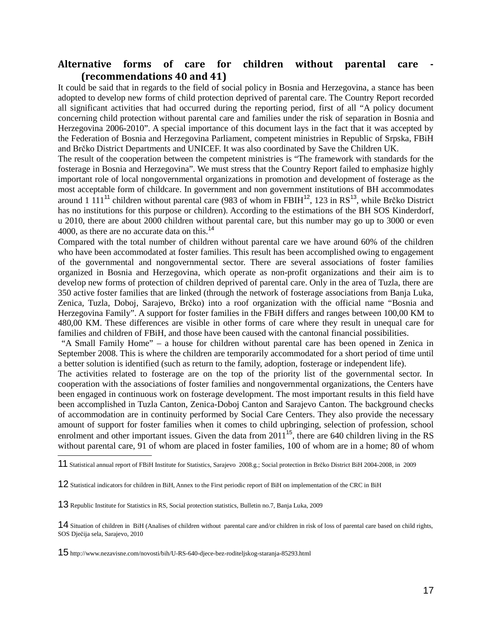## Alternative forms of care for children without parental care **(recommendations 40 and 41)**

It could be said that in regards to the field of social policy in Bosnia and Herzegovina, a stance has been adopted to develop new forms of child protection deprived of parental care. The Country Report recorded all significant activities that had occurred during the reporting period, first of all "A policy document concerning child protection without parental care and families under the risk of separation in Bosnia and Herzegovina 2006-2010". A special importance of this document lays in the fact that it was accepted by the Federation of Bosnia and Herzegovina Parliament, competent ministries in Republic of Srpska, FBiH and Brčko District Departments and UNICEF. It was also coordinated by Save the Children UK.

The result of the cooperation between the competent ministries is "The framework with standards for the fosterage in Bosnia and Herzegovina". We must stress that the Country Report failed to emphasize highly important role of local nongovernmental organizations in promotion and development of fosterage as the most acceptable form of childcare. In government and non government institutions of BH accommodates around 1 111<sup>11</sup> children without parental care (983 of whom in FBIH $^{12}$ , 123 in RS $^{13}$ , while Brčko District has no institutions for this purpose or children). According to the estimations of the BH SOS Kinderdorf, u 2010, there are about 2000 children without parental care, but this number may go up to 3000 or even 4000, as there are no accurate data on this.<sup>14</sup>

Compared with the total number of children without parental care we have around 60% of the children who have been accommodated at foster families. This result has been accomplished owing to engagement of the governmental and nongovernmental sector. There are several associations of foster families organized in Bosnia and Herzegovina, which operate as non-profit organizations and their aim is to develop new forms of protection of children deprived of parental care. Only in the area of Tuzla, there are 350 active foster families that are linked (through the network of fosterage associations from Banja Luka, Zenica, Tuzla, Doboj, Sarajevo, Brčko) into a roof organization with the official name "Bosnia and Herzegovina Family". A support for foster families in the FBiH differs and ranges between 100,00 KM to 480,00 KM. These differences are visible in other forms of care where they result in unequal care for families and children of FBiH, and those have been caused with the cantonal financial possibilities.

 "A Small Family Home" – a house for children without parental care has been opened in Zenica in September 2008. This is where the children are temporarily accommodated for a short period of time until a better solution is identified (such as return to the family, adoption, fosterage or independent life).

The activities related to fosterage are on the top of the priority list of the governmental sector. In cooperation with the associations of foster families and nongovernmental organizations, the Centers have been engaged in continuous work on fosterage development. The most important results in this field have been accomplished in Tuzla Canton, Zenica-Doboj Canton and Sarajevo Canton. The background checks of accommodation are in continuity performed by Social Care Centers. They also provide the necessary amount of support for foster families when it comes to child upbringing, selection of profession, school enrolment and other important issues. Given the data from  $2011^{15}$ , there are 640 children living in the RS without parental care, 91 of whom are placed in foster families, 100 of whom are in a home; 80 of whom

<sup>11</sup> Statistical annual report of FBiH Institute for Statistics, Sarajevo 2008.g.; Social protection in Brčko District BiH 2004-2008, in 2009

<sup>12</sup> Statistical indicators for children in BiH, Annex to the First periodic report of BiH on implementation of the CRC in BiH

<sup>13</sup> Republic Institute for Statistics in RS, Social protection statistics, Bulletin no.7, Banja Luka, 2009

<sup>14</sup> Situation of children in BiH (Analises of children without parental care and/or children in risk of loss of parental care based on child rights, SOS Dječija sela, Sarajevo, 2010

<sup>15</sup> http://www.nezavisne.com/novosti/bih/U-RS-640-djece-bez-roditeljskog-staranja-85293.html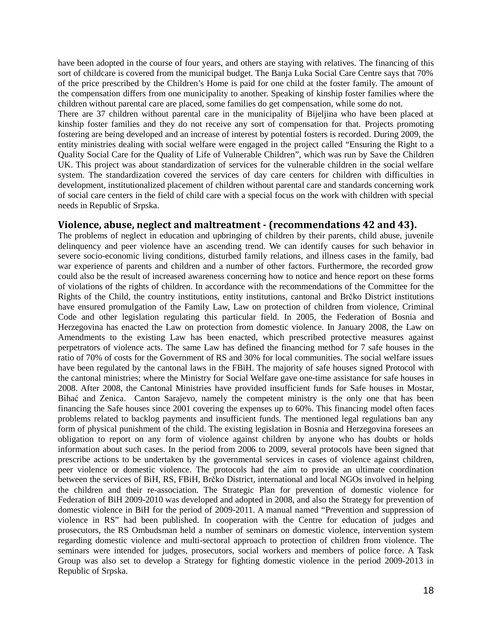have been adopted in the course of four years, and others are staying with relatives. The financing of this sort of childcare is covered from the municipal budget. The Banja Luka Social Care Centre says that 70% of the price prescribed by the Children's Home is paid for one child at the foster family. The amount of the compensation differs from one municipality to another. Speaking of kinship foster families where the children without parental care are placed, some families do get compensation, while some do not.

There are 37 children without parental care in the municipality of Bijeljina who have been placed at kinship foster families and they do not receive any sort of compensation for that. Projects promoting fostering are being developed and an increase of interest by potential fosters is recorded. During 2009, the entity ministries dealing with social welfare were engaged in the project called "Ensuring the Right to a Quality Social Care for the Quality of Life of Vulnerable Children", which was run by Save the Children UK. This project was about standardization of services for the vulnerable children in the social welfare system. The standardization covered the services of day care centers for children with difficulties in development, institutionalized placement of children without parental care and standards concerning work of social care centers in the field of child care with a special focus on the work with children with special needs in Republic of Srpska.

#### **Violence, abuse, neglect and maltreatment - (recommendations 42 and 43).**

The problems of neglect in education and upbringing of children by their parents, child abuse, juvenile delinquency and peer violence have an ascending trend. We can identify causes for such behavior in severe socio-economic living conditions, disturbed family relations, and illness cases in the family, bad war experience of parents and children and a number of other factors. Furthermore, the recorded grow could also be the result of increased awareness concerning how to notice and hence report on these forms of violations of the rights of children. In accordance with the recommendations of the Committee for the Rights of the Child, the country institutions, entity institutions, cantonal and Brčko District institutions have ensured promulgation of the Family Law, Law on protection of children from violence, Criminal Code and other legislation regulating this particular field. In 2005, the Federation of Bosnia and Herzegovina has enacted the Law on protection from domestic violence. In January 2008, the Law on Amendments to the existing Law has been enacted, which prescribed protective measures against perpetrators of violence acts. The same Law has defined the financing method for 7 safe houses in the ratio of 70% of costs for the Government of RS and 30% for local communities. The social welfare issues have been regulated by the cantonal laws in the FBiH. The majority of safe houses signed Protocol with the cantonal ministries; where the Ministry for Social Welfare gave one-time assistance for safe houses in 2008. After 2008, the Cantonal Ministries have provided insufficient funds for Safe houses in Mostar, Bihać and Zenica. Canton Sarajevo, namely the competent ministry is the only one that has been financing the Safe houses since 2001 covering the expenses up to 60%. This financing model often faces problems related to backlog payments and insufficient funds. The mentioned legal regulations ban any form of physical punishment of the child. The existing legislation in Bosnia and Herzegovina foresees an obligation to report on any form of violence against children by anyone who has doubts or holds information about such cases. In the period from 2006 to 2009, several protocols have been signed that prescribe actions to be undertaken by the governmental services in cases of violence against children, peer violence or domestic violence. The protocols had the aim to provide an ultimate coordination between the services of BiH, RS, FBiH, Brčko District, international and local NGOs involved in helping the children and their re-association. The Strategic Plan for prevention of domestic violence for Federation of BiH 2009-2010 was developed and adopted in 2008, and also the Strategy for prevention of domestic violence in BiH for the period of 2009-2011. A manual named "Prevention and suppression of violence in RS" had been published. In cooperation with the Centre for education of judges and prosecutors, the RS Ombudsman held a number of seminars on domestic violence, intervention system regarding domestic violence and multi-sectoral approach to protection of children from violence. The seminars were intended for judges, prosecutors, social workers and members of police force. A Task Group was also set to develop a Strategy for fighting domestic violence in the period 2009-2013 in Republic of Srpska.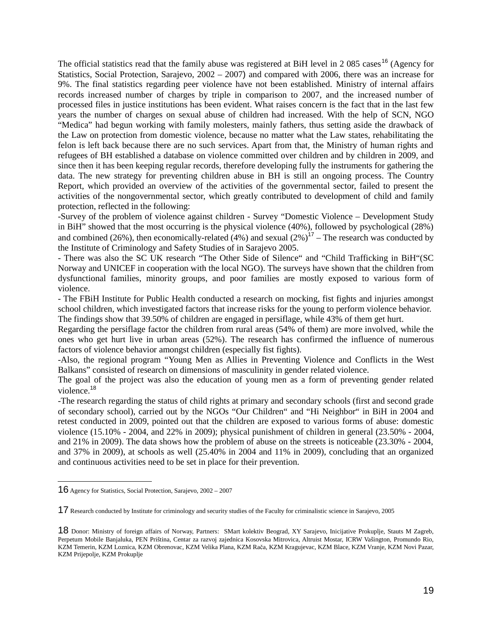The official statistics read that the family abuse was registered at BiH level in 2 085 cases<sup>16</sup> (Agency for Statistics, Social Protection, Sarajevo, 2002 – 2007) and compared with 2006, there was an increase for 9%. The final statistics regarding peer violence have not been established. Ministry of internal affairs records increased number of charges by triple in comparison to 2007, and the increased number of processed files in justice institutions has been evident. What raises concern is the fact that in the last few years the number of charges on sexual abuse of children had increased. With the help of SCN, NGO "Medica" had begun working with family molesters, mainly fathers, thus setting aside the drawback of the Law on protection from domestic violence, because no matter what the Law states, rehabilitating the felon is left back because there are no such services. Apart from that, the Ministry of human rights and refugees of BH established a database on violence committed over children and by children in 2009, and since then it has been keeping regular records, therefore developing fully the instruments for gathering the data. The new strategy for preventing children abuse in BH is still an ongoing process. The Country Report, which provided an overview of the activities of the governmental sector, failed to present the activities of the nongovernmental sector, which greatly contributed to development of child and family protection, reflected in the following:

-Survey of the problem of violence against children - Survey "Domestic Violence – Development Study in BiH" showed that the most occurring is the physical violence (40%), followed by psychological (28%) and combined (26%), then economically-related (4%) and sexual  $(2\%)^{17}$  – The research was conducted by the Institute of Criminology and Safety Studies of in Sarajevo 2005.

- There was also the SC UK research "The Other Side of Silence" and "Child Trafficking in BiH"(SC Norway and UNICEF in cooperation with the local NGO). The surveys have shown that the children from dysfunctional families, minority groups, and poor families are mostly exposed to various form of violence.

- The FBiH Institute for Public Health conducted a research on mocking, fist fights and injuries amongst school children, which investigated factors that increase risks for the young to perform violence behavior. The findings show that 39.50% of children are engaged in persiflage, while 43% of them get hurt.

Regarding the persiflage factor the children from rural areas (54% of them) are more involved, while the ones who get hurt live in urban areas (52%). The research has confirmed the influence of numerous factors of violence behavior amongst children (especially fist fights).

-Also, the regional program "Young Men as Allies in Preventing Violence and Conflicts in the West Balkans" consisted of research on dimensions of masculinity in gender related violence.

The goal of the project was also the education of young men as a form of preventing gender related violence.<sup>18</sup>

-The research regarding the status of child rights at primary and secondary schools (first and second grade of secondary school), carried out by the NGOs "Our Children" and "Hi Neighbor" in BiH in 2004 and retest conducted in 2009, pointed out that the children are exposed to various forms of abuse: domestic violence (15.10% - 2004, and 22% in 2009); physical punishment of children in general (23.50% - 2004, and 21% in 2009). The data shows how the problem of abuse on the streets is noticeable (23.30% - 2004, and 37% in 2009), at schools as well (25.40% in 2004 and 11% in 2009), concluding that an organized and continuous activities need to be set in place for their prevention.

<sup>16</sup> Agency for Statistics, Social Protection, Sarajevo, 2002 – 2007

<sup>17</sup> Research conducted by Institute for criminology and security studies of the Faculty for criminalistic science in Sarajevo, 2005

<sup>18</sup> Donor: Ministry of foreign affairs of Norway, Partners: SMart kolektiv Beograd, XY Sarajevo, Inicijative Prokuplje, Stauts M Zagreb, Perpetum Mobile Banjaluka, PEN Priština, Centar za razvoj zajednica Kosovska Mitrovica, Altruist Mostar, ICRW Vašington, Promundo Rio, KZM Temerin, KZM Loznica, KZM Obrenovac, KZM Velika Plana, KZM Rača, KZM Kragujevac, KZM Blace, KZM Vranje, KZM Novi Pazar, KZM Prijepolje, KZM Prokuplje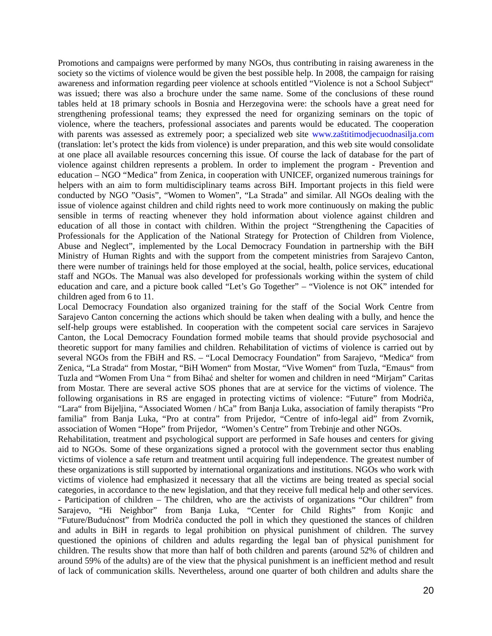Promotions and campaigns were performed by many NGOs, thus contributing in raising awareness in the society so the victims of violence would be given the best possible help. In 2008, the campaign for raising awareness and information regarding peer violence at schools entitled "Violence is not a School Subject" was issued; there was also a brochure under the same name. Some of the conclusions of these round tables held at 18 primary schools in Bosnia and Herzegovina were: the schools have a great need for strengthening professional teams; they expressed the need for organizing seminars on the topic of violence, where the teachers, professional associates and parents would be educated. The cooperation with parents was assessed as extremely poor; a specialized web site www.zaštitimodjecuodnasilja.com (translation: let's protect the kids from violence) is under preparation, and this web site would consolidate at one place all available resources concerning this issue. Of course the lack of database for the part of violence against children represents a problem. In order to implement the program - Prevention and education – NGO "Medica" from Zenica, in cooperation with UNICEF, organized numerous trainings for helpers with an aim to form multidisciplinary teams across BiH. Important projects in this field were conducted by NGO "Oasis", "Women to Women", "La Strada" and similar. All NGOs dealing with the issue of violence against children and child rights need to work more continuously on making the public sensible in terms of reacting whenever they hold information about violence against children and education of all those in contact with children. Within the project "Strengthening the Capacities of Professionals for the Application of the National Strategy for Protection of Children from Violence, Abuse and Neglect", implemented by the Local Democracy Foundation in partnership with the BiH Ministry of Human Rights and with the support from the competent ministries from Sarajevo Canton, there were number of trainings held for those employed at the social, health, police services, educational staff and NGOs. The Manual was also developed for professionals working within the system of child education and care, and a picture book called "Let's Go Together" – "Violence is not OK" intended for children aged from 6 to 11.

Local Democracy Foundation also organized training for the staff of the Social Work Centre from Sarajevo Canton concerning the actions which should be taken when dealing with a bully, and hence the self-help groups were established. In cooperation with the competent social care services in Sarajevo Canton, the Local Democracy Foundation formed mobile teams that should provide psychosocial and theoretic support for many families and children. Rehabilitation of victims of violence is carried out by several NGOs from the FBiH and RS. – "Local Democracy Foundation" from Sarajevo, "Medica" from Zenica, "La Strada" from Mostar, "BiH Women" from Mostar, "Vive Women" from Tuzla, "Emaus" from Tuzla and "Women From Una " from Bihać and shelter for women and children in need "Mirjam" Caritas from Mostar. There are several active SOS phones that are at service for the victims of violence. The following organisations in RS are engaged in protecting victims of violence: "Future" from Modriča, "Lara" from Bijeljina, "Associated Women / hCa" from Banja Luka, association of family therapists "Pro familia" from Banja Luka, "Pro at contra" from Prijedor, "Centre of info-legal aid" from Zvornik, association of Women "Hope" from Prijedor, "Women's Centre" from Trebinje and other NGOs.

Rehabilitation, treatment and psychological support are performed in Safe houses and centers for giving aid to NGOs. Some of these organizations signed a protocol with the government sector thus enabling victims of violence a safe return and treatment until acquiring full independence. The greatest number of these organizations is still supported by international organizations and institutions. NGOs who work with victims of violence had emphasized it necessary that all the victims are being treated as special social categories, in accordance to the new legislation, and that they receive full medical help and other services. - Participation of children – The children, who are the activists of organizations "Our children" from Sarajevo, "Hi Neighbor" from Banja Luka, "Center for Child Rights" from Konjic and "Future/Budućnost" from Modriča conducted the poll in which they questioned the stances of children and adults in BiH in regards to legal prohibition on physical punishment of children. The survey questioned the opinions of children and adults regarding the legal ban of physical punishment for children. The results show that more than half of both children and parents (around 52% of children and around 59% of the adults) are of the view that the physical punishment is an inefficient method and result of lack of communication skills. Nevertheless, around one quarter of both children and adults share the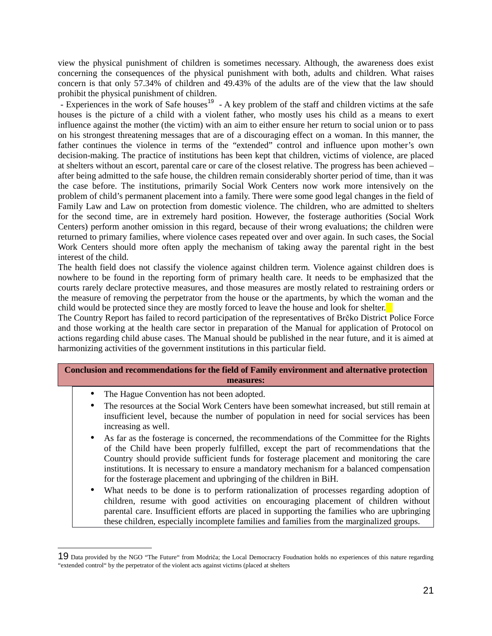view the physical punishment of children is sometimes necessary. Although, the awareness does exist concerning the consequences of the physical punishment with both, adults and children. What raises concern is that only 57.34% of children and 49.43% of the adults are of the view that the law should prohibit the physical punishment of children.

- Experiences in the work of Safe houses<sup>19</sup> - A key problem of the staff and children victims at the safe houses is the picture of a child with a violent father, who mostly uses his child as a means to exert influence against the mother (the victim) with an aim to either ensure her return to social union or to pass on his strongest threatening messages that are of a discouraging effect on a woman. In this manner, the father continues the violence in terms of the "extended" control and influence upon mother's own decision-making. The practice of institutions has been kept that children, victims of violence, are placed at shelters without an escort, parental care or care of the closest relative. The progress has been achieved – after being admitted to the safe house, the children remain considerably shorter period of time, than it was the case before. The institutions, primarily Social Work Centers now work more intensively on the problem of child's permanent placement into a family. There were some good legal changes in the field of Family Law and Law on protection from domestic violence. The children, who are admitted to shelters for the second time, are in extremely hard position. However, the fosterage authorities (Social Work Centers) perform another omission in this regard, because of their wrong evaluations; the children were returned to primary families, where violence cases repeated over and over again. In such cases, the Social Work Centers should more often apply the mechanism of taking away the parental right in the best interest of the child.

The health field does not classify the violence against children term. Violence against children does is nowhere to be found in the reporting form of primary health care. It needs to be emphasized that the courts rarely declare protective measures, and those measures are mostly related to restraining orders or the measure of removing the perpetrator from the house or the apartments, by which the woman and the child would be protected since they are mostly forced to leave the house and look for shelter.

The Country Report has failed to record participation of the representatives of Brčko District Police Force and those working at the health care sector in preparation of the Manual for application of Protocol on actions regarding child abuse cases. The Manual should be published in the near future, and it is aimed at harmonizing activities of the government institutions in this particular field.

#### **Conclusion and recommendations for the field of Family environment and alternative protection measures:**

- The Hague Convention has not been adopted.
- The resources at the Social Work Centers have been somewhat increased, but still remain at insufficient level, because the number of population in need for social services has been increasing as well.
- As far as the fosterage is concerned, the recommendations of the Committee for the Rights of the Child have been properly fulfilled, except the part of recommendations that the Country should provide sufficient funds for fosterage placement and monitoring the care institutions. It is necessary to ensure a mandatory mechanism for a balanced compensation for the fosterage placement and upbringing of the children in BiH.
- What needs to be done is to perform rationalization of processes regarding adoption of children, resume with good activities on encouraging placement of children without parental care. Insufficient efforts are placed in supporting the families who are upbringing these children, especially incomplete families and families from the marginalized groups.

<sup>19</sup> Data provided by the NGO "The Future" from Modriča; the Local Democracry Foudnation holds no experiences of this nature regarding "extended control" by the perpetrator of the violent acts against victims (placed at shelters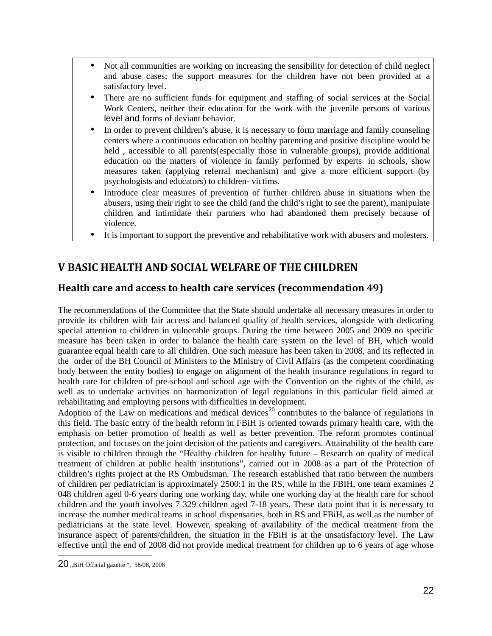- Not all communities are working on increasing the sensibility for detection of child neglect and abuse cases; the support measures for the children have not been provided at a satisfactory level.
- There are no sufficient funds for equipment and staffing of social services at the Social Work Centers, neither their education for the work with the juvenile persons of various level and forms of deviant behavior.
- In order to prevent children's abuse, it is necessary to form marriage and family counseling centers where a continuous education on healthy parenting and positive discipline would be held , accessible to all parents(especially those in vulnerable groups), provide additional education on the matters of violence in family performed by experts in schools, show measures taken (applying referral mechanism) and give a more efficient support (by psychologists and educators) to children- victims.
- Introduce clear measures of prevention of further children abuse in situations when the abusers, using their right to see the child (and the child's right to see the parent), manipulate children and intimidate their partners who had abandoned them precisely because of violence.
- It is important to support the preventive and rehabilitative work with abusers and molesters.

## **V BASIC HEALTH AND SOCIAL WELFARE OF THE CHILDREN**

#### **Health care and access to health care services (recommendation 49)**

The recommendations of the Committee that the State should undertake all necessary measures in order to provide its children with fair access and balanced quality of health services, alongside with dedicating special attention to children in vulnerable groups. During the time between 2005 and 2009 no specific measure has been taken in order to balance the health care system on the level of BH, which would guarantee equal health care to all children. One such measure has been taken in 2008, and its reflected in the order of the BH Council of Ministers to the Ministry of Civil Affairs (as the competent coordinating body between the entity bodies) to engage on alignment of the health insurance regulations in regard to health care for children of pre-school and school age with the Convention on the rights of the child, as well as to undertake activities on harmonization of legal regulations in this particular field aimed at rehabilitating and employing persons with difficulties in development.

Adoption of the Law on medications and medical devices<sup>20</sup> contributes to the balance of regulations in this field. The basic entry of the health reform in FBiH is oriented towards primary health care, with the emphasis on better promotion of health as well as better prevention. The reform promotes continual protection, and focuses on the joint decision of the patients and caregivers. Attainability of the health care is visible to children through the "Healthy children for healthy future – Research on quality of medical treatment of children at public health institutions", carried out in 2008 as a part of the Protection of children's rights project at the RS Ombudsman. The research established that ratio between the numbers of children per pediatrician is approximately 2500:1 in the RS, while in the FBIH, one team examines 2 048 children aged 0-6 years during one working day, while one working day at the health care for school children and the youth involves 7 329 children aged 7-18 years. These data point that it is necessary to increase the number medical teams in school dispensaries, both in RS and FBiH, as well as the number of pediatricians at the state level. However, speaking of availability of the medical treatment from the insurance aspect of parents/children, the situation in the FBiH is at the unsatisfactory level. The Law effective until the end of 2008 did not provide medical treatment for children up to 6 years of age whose

<sup>20 .</sup>BiH Official gazette ", 58/08, 2008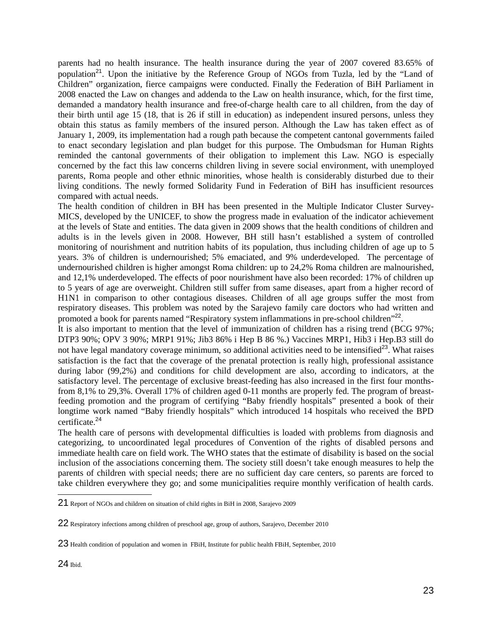parents had no health insurance. The health insurance during the year of 2007 covered 83.65% of population<sup>21</sup>. Upon the initiative by the Reference Group of NGOs from Tuzla, led by the "Land of Children" organization, fierce campaigns were conducted. Finally the Federation of BiH Parliament in 2008 enacted the Law on changes and addenda to the Law on health insurance, which, for the first time, demanded a mandatory health insurance and free-of-charge health care to all children, from the day of their birth until age 15 (18, that is 26 if still in education) as independent insured persons, unless they obtain this status as family members of the insured person. Although the Law has taken effect as of January 1, 2009, its implementation had a rough path because the competent cantonal governments failed to enact secondary legislation and plan budget for this purpose. The Ombudsman for Human Rights reminded the cantonal governments of their obligation to implement this Law. NGO is especially concerned by the fact this law concerns children living in severe social environment, with unemployed parents, Roma people and other ethnic minorities, whose health is considerably disturbed due to their living conditions. The newly formed Solidarity Fund in Federation of BiH has insufficient resources compared with actual needs.

The health condition of children in BH has been presented in the Multiple Indicator Cluster Survey-MICS, developed by the UNICEF, to show the progress made in evaluation of the indicator achievement at the levels of State and entities. The data given in 2009 shows that the health conditions of children and adults is in the levels given in 2008. However, BH still hasn't established a system of controlled monitoring of nourishment and nutrition habits of its population, thus including children of age up to 5 years. 3% of children is undernourished; 5% emaciated, and 9% underdeveloped. The percentage of undernourished children is higher amongst Roma children: up to 24,2% Roma children are malnourished, and 12,1% underdeveloped. The effects of poor nourishment have also been recorded: 17% of children up to 5 years of age are overweight. Children still suffer from same diseases, apart from a higher record of H1N1 in comparison to other contagious diseases. Children of all age groups suffer the most from respiratory diseases. This problem was noted by the Sarajevo family care doctors who had written and promoted a book for parents named "Respiratory system inflammations in pre-school children"<sup>22</sup>.

It is also important to mention that the level of immunization of children has a rising trend (BCG 97%; DTP3 90%; OPV 3 90%; MRP1 91%; Jib3 86% i Hep B 86 %.) Vaccines MRP1, Hib3 i Hep.B3 still do not have legal mandatory coverage minimum, so additional activities need to be intensified<sup>23</sup>. What raises satisfaction is the fact that the coverage of the prenatal protection is really high, professional assistance during labor (99,2%) and conditions for child development are also, according to indicators, at the satisfactory level. The percentage of exclusive breast-feeding has also increased in the first four monthsfrom 8,1% to 29,3%. Overall 17% of children aged 0-11 months are properly fed. The program of breastfeeding promotion and the program of certifying "Baby friendly hospitals" presented a book of their longtime work named "Baby friendly hospitals" which introduced 14 hospitals who received the BPD certificate.<sup>24</sup>

The health care of persons with developmental difficulties is loaded with problems from diagnosis and categorizing, to uncoordinated legal procedures of Convention of the rights of disabled persons and immediate health care on field work. The WHO states that the estimate of disability is based on the social inclusion of the associations concerning them. The society still doesn't take enough measures to help the parents of children with special needs; there are no sufficient day care centers, so parents are forced to take children everywhere they go; and some municipalities require monthly verification of health cards.

<sup>21</sup> Report of NGOs and children on situation of child rights in BiH in 2008, Sarajevo 2009

<sup>22</sup> Respiratory infections among children of preschool age, group of authors, Sarajevo, December 2010

<sup>23</sup> Health condition of population and women in FBiH, Institute for public health FBiH, September, 2010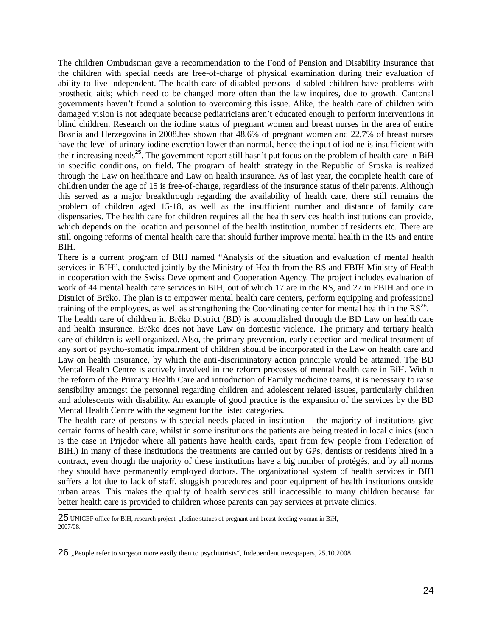The children Ombudsman gave a recommendation to the Fond of Pension and Disability Insurance that the children with special needs are free-of-charge of physical examination during their evaluation of ability to live independent. The health care of disabled persons- disabled children have problems with prosthetic aids; which need to be changed more often than the law inquires, due to growth. Cantonal governments haven't found a solution to overcoming this issue. Alike, the health care of children with damaged vision is not adequate because pediatricians aren't educated enough to perform interventions in blind children. Research on the iodine status of pregnant women and breast nurses in the area of entire Bosnia and Herzegovina in 2008.has shown that 48,6% of pregnant women and 22,7% of breast nurses have the level of urinary iodine excretion lower than normal, hence the input of iodine is insufficient with their increasing needs<sup>25</sup>. The government report still hasn't put focus on the problem of health care in BiH in specific conditions, on field. The program of health strategy in the Republic of Srpska is realized through the Law on healthcare and Law on health insurance. As of last year, the complete health care of children under the age of 15 is free-of-charge, regardless of the insurance status of their parents. Although this served as a major breakthrough regarding the availability of health care, there still remains the problem of children aged 15-18, as well as the insufficient number and distance of family care dispensaries. The health care for children requires all the health services health institutions can provide, which depends on the location and personnel of the health institution, number of residents etc. There are still ongoing reforms of mental health care that should further improve mental health in the RS and entire BIH.

There is a current program of BIH named "Analysis of the situation and evaluation of mental health services in BIH"*,* conducted jointly by the Ministry of Health from the RS and FBIH Ministry of Health in cooperation with the Swiss Development and Cooperation Agency. The project includes evaluation of work of 44 mental health care services in BIH, out of which 17 are in the RS, and 27 in FBIH and one in District of Brčko. The plan is to empower mental health care centers, perform equipping and professional training of the employees, as well as strengthening the Coordinating center for mental health in the  $RS^{26}$ .

The health care of children in Brčko District (BD) is accomplished through the BD Law on health care and health insurance. Brčko does not have Law on domestic violence. The primary and tertiary health care of children is well organized. Also, the primary prevention, early detection and medical treatment of any sort of psycho-somatic impairment of children should be incorporated in the Law on health care and Law on health insurance, by which the anti-discriminatory action principle would be attained. The BD Mental Health Centre is actively involved in the reform processes of mental health care in BiH. Within the reform of the Primary Health Care and introduction of Family medicine teams, it is necessary to raise sensibility amongst the personnel regarding children and adolescent related issues, particularly children and adolescents with disability. An example of good practice is the expansion of the services by the BD Mental Health Centre with the segment for the listed categories.

The health care of persons with special needs placed in institution **–** the majority of institutions give certain forms of health care, whilst in some institutions the patients are being treated in local clinics (such is the case in Prijedor where all patients have health cards, apart from few people from Federation of BIH.) In many of these institutions the treatments are carried out by GPs, dentists or residents hired in a contract, even though the majority of these institutions have a big number of protégés, and by all norms they should have permanently employed doctors. The organizational system of health services in BIH suffers a lot due to lack of staff, sluggish procedures and poor equipment of health institutions outside urban areas. This makes the quality of health services still inaccessible to many children because far better health care is provided to children whose parents can pay services at private clinics.

<sup>25</sup> UNICEF office for BiH, research project "Iodine statues of pregnant and breast-feeding woman in BiH, 2007/08.

<sup>26 .</sup> People refer to surgeon more easily then to psychiatrists ", Independent newspapers, 25.10.2008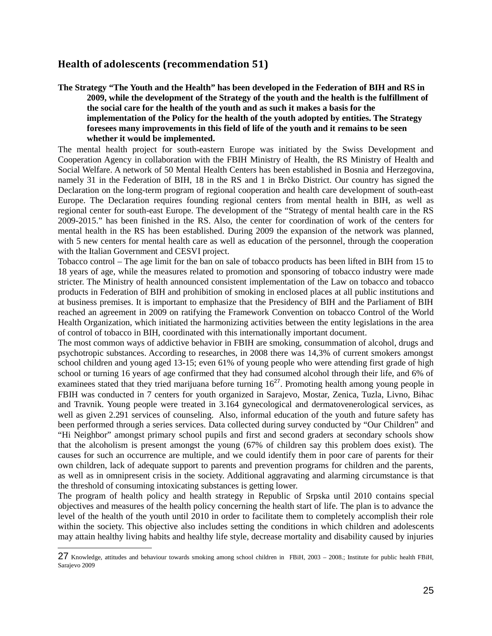## **Health of adolescents (recommendation 51)**

**The Strategy "The Youth and the Health" has been developed in the Federation of BIH and RS in 2009, while the development of the Strategy of the youth and the health is the fulfillment of the social care for the health of the youth and as such it makes a basis for the implementation of the Policy for the health of the youth adopted by entities. The Strategy foresees many improvements in this field of life of the youth and it remains to be seen whether it would be implemented.** 

The mental health project for south-eastern Europe was initiated by the Swiss Development and Cooperation Agency in collaboration with the FBIH Ministry of Health, the RS Ministry of Health and Social Welfare. A network of 50 Mental Health Centers has been established in Bosnia and Herzegovina, namely 31 in the Federation of BIH, 18 in the RS and 1 in Brčko District. Our country has signed the Declaration on the long-term program of regional cooperation and health care development of south-east Europe. The Declaration requires founding regional centers from mental health in BIH, as well as regional center for south-east Europe. The development of the "Strategy of mental health care in the RS 2009-2015." has been finished in the RS. Also, the center for coordination of work of the centers for mental health in the RS has been established. During 2009 the expansion of the network was planned, with 5 new centers for mental health care as well as education of the personnel, through the cooperation with the Italian Government and CESVI project.

Tobacco control – The age limit for the ban on sale of tobacco products has been lifted in BIH from 15 to 18 years of age, while the measures related to promotion and sponsoring of tobacco industry were made stricter. The Ministry of health announced consistent implementation of the Law on tobacco and tobacco products in Federation of BIH and prohibition of smoking in enclosed places at all public institutions and at business premises. It is important to emphasize that the Presidency of BIH and the Parliament of BIH reached an agreement in 2009 on ratifying the Framework Convention on tobacco Control of the World Health Organization, which initiated the harmonizing activities between the entity legislations in the area of control of tobacco in BIH, coordinated with this internationally important document.

The most common ways of addictive behavior in FBIH are smoking, consummation of alcohol, drugs and psychotropic substances. According to researches, in 2008 there was 14,3% of current smokers amongst school children and young aged 13-15; even 61% of young people who were attending first grade of high school or turning 16 years of age confirmed that they had consumed alcohol through their life, and 6% of examinees stated that they tried marijuana before turning  $16^{27}$ . Promoting health among young people in FBIH was conducted in 7 centers for youth organized in Sarajevo, Mostar, Zenica, Tuzla, Livno, Bihac and Travnik. Young people were treated in 3.164 gynecological and dermatovenerological services, as well as given 2.291 services of counseling. Also, informal education of the youth and future safety has been performed through a series services. Data collected during survey conducted by "Our Children" and "Hi Neighbor" amongst primary school pupils and first and second graders at secondary schools show that the alcoholism is present amongst the young (67% of children say this problem does exist). The causes for such an occurrence are multiple, and we could identify them in poor care of parents for their own children, lack of adequate support to parents and prevention programs for children and the parents, as well as in omnipresent crisis in the society. Additional aggravating and alarming circumstance is that the threshold of consuming intoxicating substances is getting lower.

The program of health policy and health strategy in Republic of Srpska until 2010 contains special objectives and measures of the health policy concerning the health start of life. The plan is to advance the level of the health of the youth until 2010 in order to facilitate them to completely accomplish their role within the society. This objective also includes setting the conditions in which children and adolescents may attain healthy living habits and healthy life style, decrease mortality and disability caused by injuries

<sup>27</sup> Knowledge, attitudes and behaviour towards smoking among school children in FBiH, 2003 – 2008.; Institute for public health FBiH, Sarajevo 2009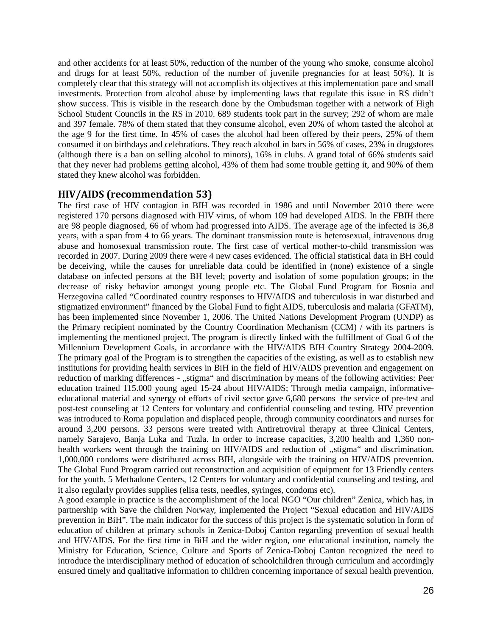and other accidents for at least 50%, reduction of the number of the young who smoke, consume alcohol and drugs for at least 50%, reduction of the number of juvenile pregnancies for at least 50%). It is completely clear that this strategy will not accomplish its objectives at this implementation pace and small investments. Protection from alcohol abuse by implementing laws that regulate this issue in RS didn't show success. This is visible in the research done by the Ombudsman together with a network of High School Student Councils in the RS in 2010. 689 students took part in the survey; 292 of whom are male and 397 female. 78% of them stated that they consume alcohol, even 20% of whom tasted the alcohol at the age 9 for the first time. In 45% of cases the alcohol had been offered by their peers, 25% of them consumed it on birthdays and celebrations. They reach alcohol in bars in 56% of cases, 23% in drugstores (although there is a ban on selling alcohol to minors), 16% in clubs. A grand total of 66% students said that they never had problems getting alcohol, 43% of them had some trouble getting it, and 90% of them stated they knew alcohol was forbidden.

#### **HIV/AIDS (recommendation 53)**

The first case of HIV contagion in BIH was recorded in 1986 and until November 2010 there were registered 170 persons diagnosed with HIV virus, of whom 109 had developed AIDS. In the FBIH there are 98 people diagnosed, 66 of whom had progressed into AIDS. The average age of the infected is 36,8 years, with a span from 4 to 66 years. The dominant transmission route is heterosexual, intravenous drug abuse and homosexual transmission route. The first case of vertical mother-to-child transmission was recorded in 2007. During 2009 there were 4 new cases evidenced. The official statistical data in BH could be deceiving, while the causes for unreliable data could be identified in (none) existence of a single database on infected persons at the BH level; poverty and isolation of some population groups; in the decrease of risky behavior amongst young people etc. The Global Fund Program for Bosnia and Herzegovina called "Coordinated country responses to HIV/AIDS and tuberculosis in war disturbed and stigmatized environment" financed by the Global Fund to fight AIDS, tuberculosis and malaria (GFATM), has been implemented since November 1, 2006. The United Nations Development Program (UNDP) as the Primary recipient nominated by the Country Coordination Mechanism (CCM) / with its partners is implementing the mentioned project. The program is directly linked with the fulfillment of Goal 6 of the Millennium Development Goals, in accordance with the HIV/AIDS BIH Country Strategy 2004-2009. The primary goal of the Program is to strengthen the capacities of the existing, as well as to establish new institutions for providing health services in BiH in the field of HIV/AIDS prevention and engagement on reduction of marking differences - "stigma" and discrimination by means of the following activities: Peer education trained 115.000 young aged 15-24 about HIV/AIDS; Through media campaign, informativeeducational material and synergy of efforts of civil sector gave 6,680 persons the service of pre-test and post-test counseling at 12 Centers for voluntary and confidential counseling and testing. HIV prevention was introduced to Roma population and displaced people, through community coordinators and nurses for around 3,200 persons. 33 persons were treated with Antiretroviral therapy at three Clinical Centers, namely Sarajevo, Banja Luka and Tuzla. In order to increase capacities, 3,200 health and 1,360 nonhealth workers went through the training on HIV/AIDS and reduction of "stigma" and discrimination. 1,000,000 condoms were distributed across BIH, alongside with the training on HIV/AIDS prevention. The Global Fund Program carried out reconstruction and acquisition of equipment for 13 Friendly centers for the youth, 5 Methadone Centers, 12 Centers for voluntary and confidential counseling and testing, and it also regularly provides supplies (elisa tests, needles, syringes, condoms etc).

A good example in practice is the accomplishment of the local NGO "Our children" Zenica, which has, in partnership with Save the children Norway, implemented the Project "Sexual education and HIV/AIDS prevention in BiH". The main indicator for the success of this project is the systematic solution in form of education of children at primary schools in Zenica-Doboj Canton regarding prevention of sexual health and HIV/AIDS. For the first time in BiH and the wider region, one educational institution, namely the Ministry for Education, Science, Culture and Sports of Zenica-Doboj Canton recognized the need to introduce the interdisciplinary method of education of schoolchildren through curriculum and accordingly ensured timely and qualitative information to children concerning importance of sexual health prevention.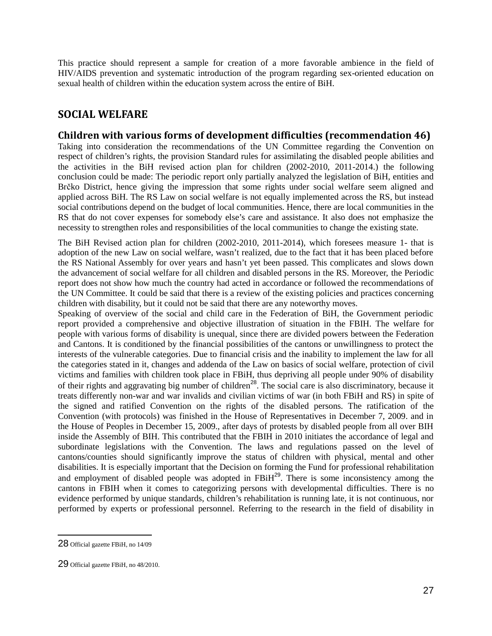This practice should represent a sample for creation of a more favorable ambience in the field of HIV/AIDS prevention and systematic introduction of the program regarding sex-oriented education on sexual health of children within the education system across the entire of BiH.

## **SOCIAL WELFARE**

#### **Children with various forms of development difficulties (recommendation 46)**

Taking into consideration the recommendations of the UN Committee regarding the Convention on respect of children's rights, the provision Standard rules for assimilating the disabled people abilities and the activities in the BiH revised action plan for children (2002-2010, 2011-2014.) the following conclusion could be made: The periodic report only partially analyzed the legislation of BiH, entities and Brčko District, hence giving the impression that some rights under social welfare seem aligned and applied across BiH. The RS Law on social welfare is not equally implemented across the RS, but instead social contributions depend on the budget of local communities. Hence, there are local communities in the RS that do not cover expenses for somebody else's care and assistance. It also does not emphasize the necessity to strengthen roles and responsibilities of the local communities to change the existing state.

The BiH Revised action plan for children (2002-2010, 2011-2014), which foresees measure 1- that is adoption of the new Law on social welfare, wasn't realized, due to the fact that it has been placed before the RS National Assembly for over years and hasn't yet been passed. This complicates and slows down the advancement of social welfare for all children and disabled persons in the RS. Moreover, the Periodic report does not show how much the country had acted in accordance or followed the recommendations of the UN Committee. It could be said that there is a review of the existing policies and practices concerning children with disability, but it could not be said that there are any noteworthy moves.

Speaking of overview of the social and child care in the Federation of BiH, the Government periodic report provided a comprehensive and objective illustration of situation in the FBIH. The welfare for people with various forms of disability is unequal, since there are divided powers between the Federation and Cantons. It is conditioned by the financial possibilities of the cantons or unwillingness to protect the interests of the vulnerable categories. Due to financial crisis and the inability to implement the law for all the categories stated in it, changes and addenda of the Law on basics of social welfare, protection of civil victims and families with children took place in FBiH, thus depriving all people under 90% of disability of their rights and aggravating big number of children<sup>28</sup>. The social care is also discriminatory, because it treats differently non-war and war invalids and civilian victims of war (in both FBiH and RS) in spite of the signed and ratified Convention on the rights of the disabled persons. The ratification of the Convention (with protocols) was finished in the House of Representatives in December 7, 2009. and in the House of Peoples in December 15, 2009., after days of protests by disabled people from all over BIH inside the Assembly of BIH. This contributed that the FBIH in 2010 initiates the accordance of legal and subordinate legislations with the Convention. The laws and regulations passed on the level of cantons/counties should significantly improve the status of children with physical, mental and other disabilities. It is especially important that the Decision on forming the Fund for professional rehabilitation and employment of disabled people was adopted in  $FBiH^{29}$ . There is some inconsistency among the cantons in FBIH when it comes to categorizing persons with developmental difficulties. There is no evidence performed by unique standards, children's rehabilitation is running late, it is not continuous, nor performed by experts or professional personnel. Referring to the research in the field of disability in

<sup>28</sup> Official gazette FBiH, no 14/09

<sup>29</sup> Official gazette FBiH, no 48/2010.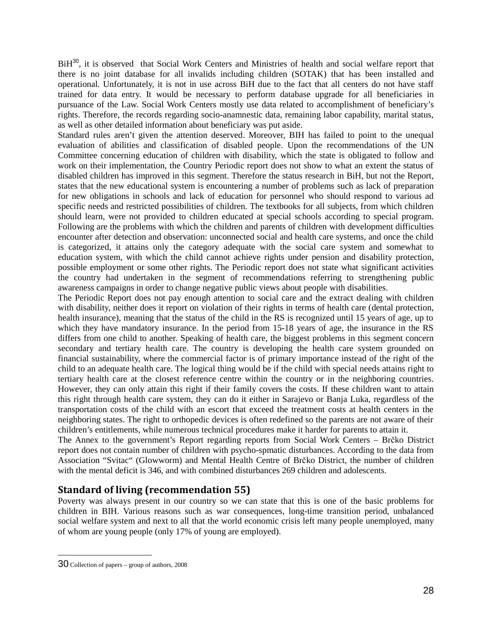BiH<sup>30</sup>, it is observed that Social Work Centers and Ministries of health and social welfare report that there is no joint database for all invalids including children (SOTAK) that has been installed and operational. Unfortunately, it is not in use across BiH due to the fact that all centers do not have staff trained for data entry. It would be necessary to perform database upgrade for all beneficiaries in pursuance of the Law. Social Work Centers mostly use data related to accomplishment of beneficiary's rights. Therefore, the records regarding socio-anamnestic data, remaining labor capability, marital status, as well as other detailed information about beneficiary was put aside.

Standard rules aren't given the attention deserved. Moreover, BIH has failed to point to the unequal evaluation of abilities and classification of disabled people. Upon the recommendations of the UN Committee concerning education of children with disability, which the state is obligated to follow and work on their implementation, the Country Periodic report does not show to what an extent the status of disabled children has improved in this segment. Therefore the status research in BiH, but not the Report, states that the new educational system is encountering a number of problems such as lack of preparation for new obligations in schools and lack of education for personnel who should respond to various ad specific needs and restricted possibilities of children. The textbooks for all subjects, from which children should learn, were not provided to children educated at special schools according to special program. Following are the problems with which the children and parents of children with development difficulties encounter after detection and observation: unconnected social and health care systems, and once the child is categorized, it attains only the category adequate with the social care system and somewhat to education system, with which the child cannot achieve rights under pension and disability protection, possible employment or some other rights. The Periodic report does not state what significant activities the country had undertaken in the segment of recommendations referring to strengthening public awareness campaigns in order to change negative public views about people with disabilities.

The Periodic Report does not pay enough attention to social care and the extract dealing with children with disability, neither does it report on violation of their rights in terms of health care (dental protection, health insurance), meaning that the status of the child in the RS is recognized until 15 years of age, up to which they have mandatory insurance. In the period from 15-18 years of age, the insurance in the RS differs from one child to another. Speaking of health care, the biggest problems in this segment concern secondary and tertiary health care. The country is developing the health care system grounded on financial sustainability, where the commercial factor is of primary importance instead of the right of the child to an adequate health care. The logical thing would be if the child with special needs attains right to tertiary health care at the closest reference centre within the country or in the neighboring countries. However, they can only attain this right if their family covers the costs. If these children want to attain this right through health care system, they can do it either in Sarajevo or Banja Luka, regardless of the transportation costs of the child with an escort that exceed the treatment costs at health centers in the neighboring states. The right to orthopedic devices is often redefined so the parents are not aware of their children's entitlements, while numerous technical procedures make it harder for parents to attain it.

The Annex to the government's Report regarding reports from Social Work Centers – Brčko District report does not contain number of children with psycho-spmatic disturbances. According to the data from Association "Svitac" (Glowworm) and Mental Health Centre of Brčko District, the number of children with the mental deficit is 346, and with combined disturbances 269 children and adolescents.

## **Standard of living (recommendation 55)**

Poverty was always present in our country so we can state that this is one of the basic problems for children in BIH. Various reasons such as war consequences, long-time transition period, unbalanced social welfare system and next to all that the world economic crisis left many people unemployed, many of whom are young people (only 17% of young are employed).

<sup>30</sup> Collection of papers – group of authors, 2008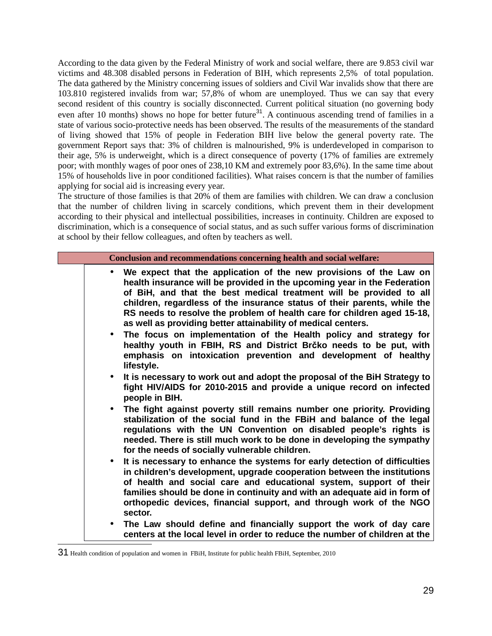According to the data given by the Federal Ministry of work and social welfare, there are 9.853 civil war victims and 48.308 disabled persons in Federation of BIH, which represents 2,5% of total population. The data gathered by the Ministry concerning issues of soldiers and Civil War invalids show that there are 103.810 registered invalids from war; 57,8% of whom are unemployed. Thus we can say that every second resident of this country is socially disconnected. Current political situation (no governing body even after 10 months) shows no hope for better future<sup>31</sup>. A continuous ascending trend of families in a state of various socio-protective needs has been observed. The results of the measurements of the standard of living showed that 15% of people in Federation BIH live below the general poverty rate. The government Report says that: 3% of children is malnourished, 9% is underdeveloped in comparison to their age, 5% is underweight, which is a direct consequence of poverty (17% of families are extremely poor; with monthly wages of poor ones of 238,10 KM and extremely poor 83,6%). In the same time about 15% of households live in poor conditioned facilities). What raises concern is that the number of families applying for social aid is increasing every year.

The structure of those families is that 20% of them are families with children. We can draw a conclusion that the number of children living in scarcely conditions, which prevent them in their development according to their physical and intellectual possibilities, increases in continuity. Children are exposed to discrimination, which is a consequence of social status, and as such suffer various forms of discrimination at school by their fellow colleagues, and often by teachers as well.

- **We expect that the application of the new provisions of the Law on health insurance will be provided in the upcoming year in the Federation of BiH, and that the best medical treatment will be provided to all children, regardless of the insurance status of their parents, while the RS needs to resolve the problem of health care for children aged 15-18, as well as providing better attainability of medical centers.**
- **The focus on implementation of the Health policy and strategy for healthy youth in FBIH, RS and District Brčko needs to be put, with emphasis on intoxication prevention and development of healthy lifestyle.**
- **It is necessary to work out and adopt the proposal of the BiH Strategy to fight HIV/AIDS for 2010-2015 and provide a unique record on infected people in BIH.**
- **The fight against poverty still remains number one priority. Providing stabilization of the social fund in the FBiH and balance of the legal regulations with the UN Convention on disabled people's rights is needed. There is still much work to be done in developing the sympathy for the needs of socially vulnerable children.**
- **It is necessary to enhance the systems for early detection of difficulties in children's development, upgrade cooperation between the institutions of health and social care and educational system, support of their families should be done in continuity and with an adequate aid in form of orthopedic devices, financial support, and through work of the NGO sector.**
- **The Law should define and financially support the work of day care centers at the local level in order to reduce the number of children at the**

<sup>31</sup> Health condition of population and women in FBiH, Institute for public health FBiH, September, 2010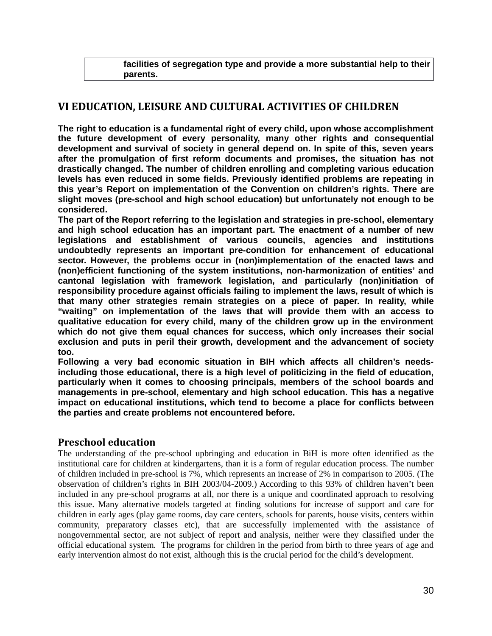**facilities of segregation type and provide a more substantial help to their parents.**

## **VI EDUCATION, LEISURE AND CULTURAL ACTIVITIES OF CHILDREN**

**The right to education is a fundamental right of every child, upon whose accomplishment the future development of every personality, many other rights and consequential development and survival of society in general depend on. In spite of this, seven years after the promulgation of first reform documents and promises, the situation has not drastically changed. The number of children enrolling and completing various education levels has even reduced in some fields. Previously identified problems are repeating in this year's Report on implementation of the Convention on children's rights. There are slight moves (pre-school and high school education) but unfortunately not enough to be considered.**

**The part of the Report referring to the legislation and strategies in pre-school, elementary and high school education has an important part. The enactment of a number of new legislations and establishment of various councils, agencies and institutions undoubtedly represents an important pre-condition for enhancement of educational sector. However, the problems occur in (non)implementation of the enacted laws and (non)efficient functioning of the system institutions, non-harmonization of entities' and cantonal legislation with framework legislation, and particularly (non)initiation of responsibility procedure against officials failing to implement the laws, result of which is that many other strategies remain strategies on a piece of paper. In reality, while "waiting" on implementation of the laws that will provide them with an access to qualitative education for every child, many of the children grow up in the environment which do not give them equal chances for success, which only increases their social exclusion and puts in peril their growth, development and the advancement of society too.**

**Following a very bad economic situation in BIH which affects all children's needsincluding those educational, there is a high level of politicizing in the field of education, particularly when it comes to choosing principals, members of the school boards and managements in pre-school, elementary and high school education. This has a negative impact on educational institutions, which tend to become a place for conflicts between the parties and create problems not encountered before.**

## **Preschool education**

The understanding of the pre-school upbringing and education in BiH is more often identified as the institutional care for children at kindergartens, than it is a form of regular education process. The number of children included in pre-school is 7%, which represents an increase of 2% in comparison to 2005. (The observation of children's rights in BIH 2003/04-2009.) According to this 93% of children haven't been included in any pre-school programs at all, nor there is a unique and coordinated approach to resolving this issue. Many alternative models targeted at finding solutions for increase of support and care for children in early ages (play game rooms, day care centers, schools for parents, house visits, centers within community, preparatory classes etc), that are successfully implemented with the assistance of nongovernmental sector, are not subject of report and analysis, neither were they classified under the official educational system. The programs for children in the period from birth to three years of age and early intervention almost do not exist, although this is the crucial period for the child's development.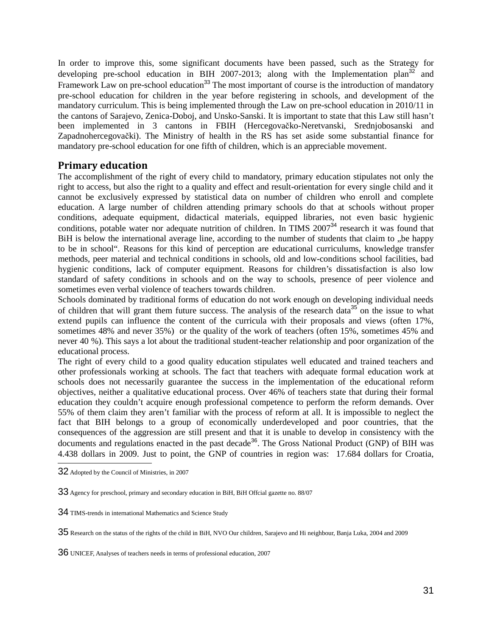In order to improve this, some significant documents have been passed, such as the Strategy for developing pre-school education in BIH 2007-2013; along with the Implementation plan<sup>32</sup> and Framework Law on pre-school education<sup>33</sup> The most important of course is the introduction of mandatory pre-school education for children in the year before registering in schools, and development of the mandatory curriculum. This is being implemented through the Law on pre-school education in 2010/11 in the cantons of Sarajevo, Zenica-Doboj, and Unsko-Sanski. It is important to state that this Law still hasn't been implemented in 3 cantons in FBIH (Hercegovačko-Neretvanski, Srednjobosanski and Zapadnohercegovački). The Ministry of health in the RS has set aside some substantial finance for mandatory pre-school education for one fifth of children, which is an appreciable movement.

## **Primary education**

The accomplishment of the right of every child to mandatory, primary education stipulates not only the right to access, but also the right to a quality and effect and result-orientation for every single child and it cannot be exclusively expressed by statistical data on number of children who enroll and complete education. A large number of children attending primary schools do that at schools without proper conditions, adequate equipment, didactical materials, equipped libraries, not even basic hygienic conditions, potable water nor adequate nutrition of children. In TIMS  $2007<sup>34</sup>$  research it was found that BiH is below the international average line, according to the number of students that claim to "be happy to be in school". Reasons for this kind of perception are educational curriculums, knowledge transfer methods, peer material and technical conditions in schools, old and low-conditions school facilities, bad hygienic conditions, lack of computer equipment. Reasons for children's dissatisfaction is also low standard of safety conditions in schools and on the way to schools, presence of peer violence and sometimes even verbal violence of teachers towards children.

Schools dominated by traditional forms of education do not work enough on developing individual needs of children that will grant them future success. The analysis of the research data<sup>35</sup> on the issue to what extend pupils can influence the content of the curricula with their proposals and views (often 17%, sometimes 48% and never 35%) or the quality of the work of teachers (often 15%, sometimes 45% and never 40 %). This says a lot about the traditional student-teacher relationship and poor organization of the educational process.

The right of every child to a good quality education stipulates well educated and trained teachers and other professionals working at schools. The fact that teachers with adequate formal education work at schools does not necessarily guarantee the success in the implementation of the educational reform objectives, neither a qualitative educational process. Over 46% of teachers state that during their formal education they couldn't acquire enough professional competence to perform the reform demands. Over 55% of them claim they aren't familiar with the process of reform at all. It is impossible to neglect the fact that BIH belongs to a group of economically underdeveloped and poor countries, that the consequences of the aggression are still present and that it is unable to develop in consistency with the documents and regulations enacted in the past decade<sup>36</sup>. The Gross National Product (GNP) of BIH was 4.438 dollars in 2009. Just to point, the GNP of countries in region was: 17.684 dollars for Croatia,

<sup>32</sup> Adopted by the Council of Ministries, in 2007

<sup>33</sup> Agency for preschool, primary and secondary education in BiH, BiH Offcial gazette no. 88/07

<sup>34</sup> TIMS-trends in international Mathematics and Science Study

<sup>35</sup> Research on the status of the rights of the child in BiH, NVO Our children, Sarajevo and Hi neighbour, Banja Luka, 2004 and 2009

<sup>36</sup> UNICEF, Analyses of teachers needs in terms of professional education, 2007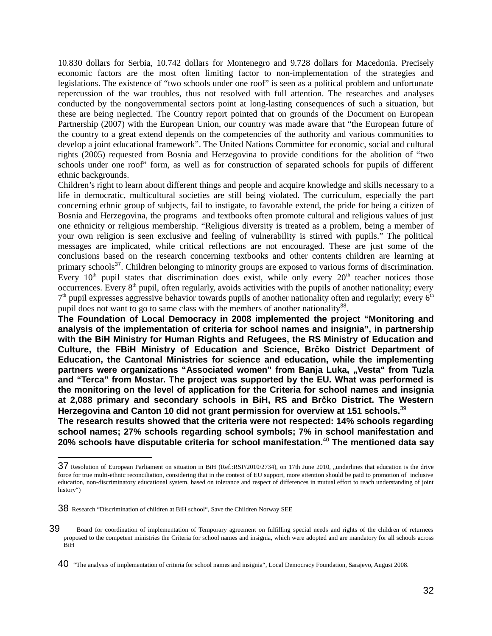10.830 dollars for Serbia, 10.742 dollars for Montenegro and 9.728 dollars for Macedonia. Precisely economic factors are the most often limiting factor to non-implementation of the strategies and legislations. The existence of "two schools under one roof" is seen as a political problem and unfortunate repercussion of the war troubles, thus not resolved with full attention. The researches and analyses conducted by the nongovernmental sectors point at long-lasting consequences of such a situation, but these are being neglected. The Country report pointed that on grounds of the Document on European Partnership (2007) with the European Union, our country was made aware that "the European future of the country to a great extend depends on the competencies of the authority and various communities to develop a joint educational framework". The United Nations Committee for economic, social and cultural rights (2005) requested from Bosnia and Herzegovina to provide conditions for the abolition of "two schools under one roof" form, as well as for construction of separated schools for pupils of different ethnic backgrounds.

Children's right to learn about different things and people and acquire knowledge and skills necessary to a life in democratic, multicultural societies are still being violated. The curriculum, especially the part concerning ethnic group of subjects, fail to instigate, to favorable extend, the pride for being a citizen of Bosnia and Herzegovina, the programs and textbooks often promote cultural and religious values of just one ethnicity or religious membership. "Religious diversity is treated as a problem, being a member of your own religion is seen exclusive and feeling of vulnerability is stirred with pupils." The political messages are implicated, while critical reflections are not encouraged. These are just some of the conclusions based on the research concerning textbooks and other contents children are learning at primary schools<sup>37</sup>. Children belonging to minority groups are exposed to various forms of discrimination. Every  $10<sup>th</sup>$  pupil states that discrimination does exist, while only every  $20<sup>th</sup>$  teacher notices those occurrences. Every 8th pupil, often regularly, avoids activities with the pupils of another nationality; every  $7<sup>th</sup>$  pupil expresses aggressive behavior towards pupils of another nationality often and regularly; every  $6<sup>th</sup>$ pupil does not want to go to same class with the members of another nationality<sup>38</sup>.

**The Foundation of Local Democracy in 2008 implemented the project "Monitoring and analysis of the implementation of criteria for school names and insignia", in partnership with the BiH Ministry for Human Rights and Refugees, the RS Ministry of Education and Culture, the FBiH Ministry of Education and Science, Brčko District Department of Education, the Cantonal Ministries for science and education, while the implementing** partners were organizations "Associated women" from Banja Luka, "Vesta" from Tuzla **and "Terca" from Mostar. The project was supported by the EU. What was performed is the monitoring on the level of application for the Criteria for school names and insignia at 2,088 primary and secondary schools in BiH, RS and Brčko District. The Western Herzegovina and Canton 10 did not grant permission for overview at 151 schools.**<sup>39</sup>

**The research results showed that the criteria were not respected: 14% schools regarding school names; 27% schools regarding school symbols; 7% in school manifestation and 20% schools have disputable criteria for school manifestation.**<sup>40</sup> **The mentioned data say**

<sup>37</sup> Resolution of European Parliament on situation in BiH (Ref.:RSP/2010/2734), on 17th June 2010, "underlines that education is the drive force for true multi-ethnic reconciliation, considering that in the context of EU support, more attention should be paid to promotion of inclusive education, non-discriminatory educational system, based on tolerance and respect of differences in mutual effort to reach understanding of joint history")

<sup>38</sup> Research "Discrimination of children at BiH school", Save the Children Norway SEE

<sup>39</sup>Board for coordination of implementation of Temporary agreement on fulfilling special needs and rights of the children of returnees proposed to the competent ministries the Criteria for school names and insignia, which were adopted and are mandatory for all schools across BiH

<sup>40</sup> "The analysis of implementation of criteria for school names and insignia", Local Democracy Foundation, Sarajevo, August 2008.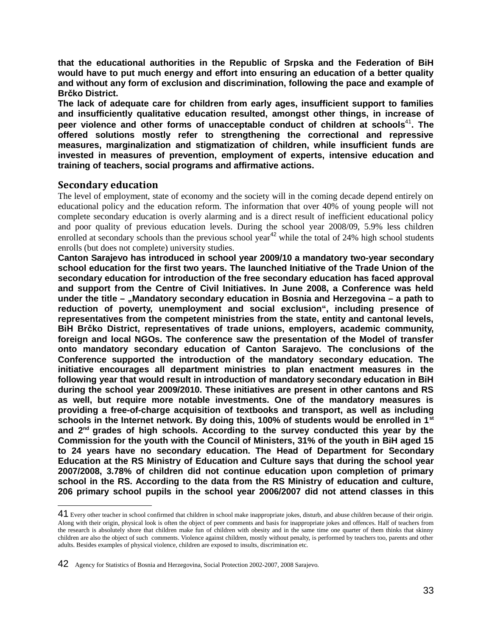**that the educational authorities in the Republic of Srpska and the Federation of BiH would have to put much energy and effort into ensuring an education of a better quality and without any form of exclusion and discrimination, following the pace and example of Brčko District.** 

**The lack of adequate care for children from early ages, insufficient support to families and insufficiently qualitative education resulted, amongst other things, in increase of peer violence and other forms of unacceptable conduct of children at schools**<sup>41</sup>**. The offered solutions mostly refer to strengthening the correctional and repressive measures, marginalization and stigmatization of children, while insufficient funds are invested in measures of prevention, employment of experts, intensive education and training of teachers, social programs and affirmative actions.** 

#### **Secondary education**

The level of employment, state of economy and the society will in the coming decade depend entirely on educational policy and the education reform. The information that over 40% of young people will not complete secondary education is overly alarming and is a direct result of inefficient educational policy and poor quality of previous education levels. During the school year 2008/09, 5.9% less children enrolled at secondary schools than the previous school year<sup>42</sup> while the total of  $24\%$  high school students enrolls (but does not complete) university studies.

**Canton Sarajevo has introduced in school year 2009/10 a mandatory two-year secondary school education for the first two years. The launched Initiative of the Trade Union of the secondary education for introduction of the free secondary education has faced approval and support from the Centre of Civil Initiatives. In June 2008, a Conference was held** under the title – "Mandatory secondary education in Bosnia and Herzegovina – a path to **reduction of poverty, unemployment and social exclusion", including presence of representatives from the competent ministries from the state, entity and cantonal levels, BiH Brčko District, representatives of trade unions, employers, academic community, foreign and local NGOs. The conference saw the presentation of the Model of transfer onto mandatory secondary education of Canton Sarajevo. The conclusions of the Conference supported the introduction of the mandatory secondary education. The initiative encourages all department ministries to plan enactment measures in the following year that would result in introduction of mandatory secondary education in BiH during the school year 2009/2010. These initiatives are present in other cantons and RS as well, but require more notable investments. One of the mandatory measures is providing a free-of-charge acquisition of textbooks and transport, as well as including schools in the Internet network. By doing this, 100% of students would be enrolled in 1st and 2nd grades of high schools. According to the survey conducted this year by the Commission for the youth with the Council of Ministers, 31% of the youth in BiH aged 15 to 24 years have no secondary education. The Head of Department for Secondary Education at the RS Ministry of Education and Culture says that during the school year 2007/2008, 3.78% of children did not continue education upon completion of primary school in the RS. According to the data from the RS Ministry of education and culture, 206 primary school pupils in the school year 2006/2007 did not attend classes in this**

<sup>41</sup> Every other teacher in school confirmed that children in school make inappropriate jokes, disturb, and abuse children because of their origin. Along with their origin, physical look is often the object of peer comments and basis for inappropriate jokes and offences. Half of teachers from the research is absolutely shore that children make fun of children with obesity and in the same time one quarter of them thinks that skinny children are also the object of such comments. Violence against children, mostly without penalty, is performed by teachers too, parents and other adults. Besides examples of physical violence, children are exposed to insults, discrimination etc.

<sup>42</sup>Agency for Statistics of Bosnia and Herzegovina, Social Protection 2002-2007, 2008 Sarajevo*.*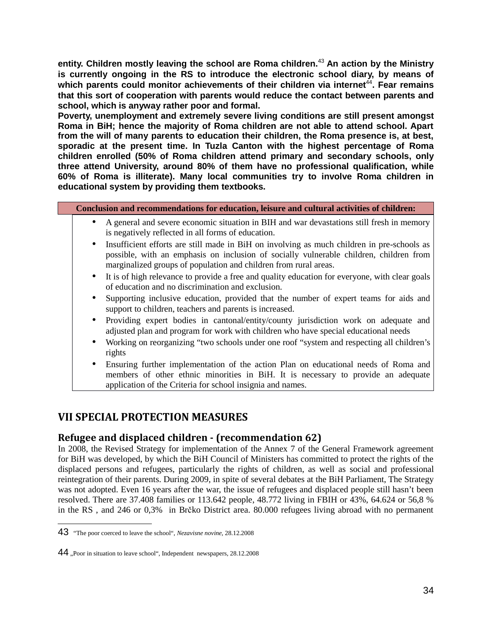**entity. Children mostly leaving the school are Roma children.**<sup>43</sup> **An action by the Ministry is currently ongoing in the RS to introduce the electronic school diary, by means of** which parents could monitor achievements of their children via internet<sup>44</sup>. Fear remains **that this sort of cooperation with parents would reduce the contact between parents and school, which is anyway rather poor and formal.** 

**Poverty, unemployment and extremely severe living conditions are still present amongst Roma in BiH; hence the majority of Roma children are not able to attend school. Apart from the will of many parents to education their children, the Roma presence is, at best, sporadic at the present time. In Tuzla Canton with the highest percentage of Roma children enrolled (50% of Roma children attend primary and secondary schools, only three attend University, around 80% of them have no professional qualification, while 60% of Roma is illiterate). Many local communities try to involve Roma children in educational system by providing them textbooks.**

| Conclusion and recommendations for education, leisure and cultural activities of children:                                                                                                                                                                            |
|-----------------------------------------------------------------------------------------------------------------------------------------------------------------------------------------------------------------------------------------------------------------------|
| • A general and severe economic situation in BIH and war devastations still fresh in memory<br>is negatively reflected in all forms of education.                                                                                                                     |
| Insufficient efforts are still made in BiH on involving as much children in pre-schools as<br>$\bullet$<br>possible, with an emphasis on inclusion of socially vulnerable children, children from<br>marginalized groups of population and children from rural areas. |
| • It is of high relevance to provide a free and quality education for everyone, with clear goals<br>of education and no discrimination and exclusion.                                                                                                                 |
| Supporting inclusive education, provided that the number of expert teams for aids and<br>support to children, teachers and parents is increased.                                                                                                                      |
| Providing expert bodies in cantonal/entity/county jurisdiction work on adequate and<br>$\bullet$<br>adjusted plan and program for work with children who have special educational needs                                                                               |
| Working on reorganizing "two schools under one roof "system and respecting all children's<br>rights                                                                                                                                                                   |
| Ensuring further implementation of the action Plan on educational needs of Roma and<br>$\bullet$<br>members of other ethnic minorities in BiH. It is necessary to provide an adequate<br>application of the Criteria for school insignia and names.                   |

## **VII SPECIAL PROTECTION MEASURES**

## **Refugee and displaced children - (recommendation 62)**

In 2008, the Revised Strategy for implementation of the Annex 7 of the General Framework agreement for BiH was developed, by which the BiH Council of Ministers has committed to protect the rights of the displaced persons and refugees, particularly the rights of children, as well as social and professional reintegration of their parents. During 2009, in spite of several debates at the BiH Parliament, The Strategy was not adopted. Even 16 years after the war, the issue of refugees and displaced people still hasn't been resolved. There are 37.408 families or 113.642 people, 48.772 living in FBIH or 43%, 64.624 or 56,8 % in the RS , and 246 or 0,3% in Brčko District area. 80.000 refugees living abroad with no permanent

<sup>43</sup> "The poor coerced to leave the school", *Nezavisne novine*, 28.12.2008

<sup>44 .</sup>Poor in situation to leave school", Independent newspapers, 28.12.2008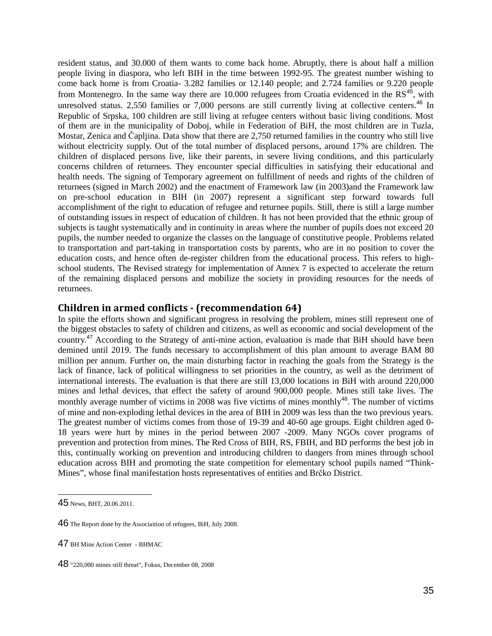resident status, and 30.000 of them wants to come back home. Abruptly, there is about half a million people living in diaspora, who left BIH in the time between 1992-95. The greatest number wishing to come back home is from Croatia- 3.282 families or 12.140 people; and 2.724 families or 9.220 people from Montenegro. In the same way there are 10.000 refugees from Croatia evidenced in the  $RS^{45}$ , with unresolved status. 2,550 families or 7,000 persons are still currently living at collective centers.<sup>46</sup> In Republic of Srpska, 100 children are still living at refugee centers without basic living conditions. Most of them are in the municipality of Doboj, while in Federation of BiH, the most children are in Tuzla, Mostar, Zenica and Čapljina. Data show that there are 2,750 returned families in the country who still live without electricity supply. Out of the total number of displaced persons, around 17% are children. The children of displaced persons live, like their parents, in severe living conditions, and this particularly concerns children of returnees. They encounter special difficulties in satisfying their educational and health needs. The signing of Temporary agreement on fulfillment of needs and rights of the children of returnees (signed in March 2002) and the enactment of Framework law (in 2003)and the Framework law on pre-school education in BIH (in 2007) represent a significant step forward towards full accomplishment of the right to education of refugee and returnee pupils. Still, there is still a large number of outstanding issues in respect of education of children. It has not been provided that the ethnic group of subjects is taught systematically and in continuity in areas where the number of pupils does not exceed 20 pupils, the number needed to organize the classes on the language of constitutive people. Problems related to transportation and part-taking in transportation costs by parents, who are in no position to cover the education costs, and hence often de-register children from the educational process. This refers to highschool students. The Revised strategy for implementation of Annex 7 is expected to accelerate the return of the remaining displaced persons and mobilize the society in providing resources for the needs of returnees.

#### **Children in armed conflicts - (recommendation 64)**

In spite the efforts shown and significant progress in resolving the problem, mines still represent one of the biggest obstacles to safety of children and citizens, as well as economic and social development of the country.<sup>47</sup> According to the Strategy of anti-mine action, evaluation is made that BiH should have been demined until 2019. The funds necessary to accomplishment of this plan amount to average BAM 80 million per annum. Further on, the main disturbing factor in reaching the goals from the Strategy is the lack of finance, lack of political willingness to set priorities in the country, as well as the detriment of international interests. The evaluation is that there are still 13,000 locations in BiH with around 220,000 mines and lethal devices, that effect the safety of around 900,000 people. Mines still take lives. The monthly average number of victims in 2008 was five victims of mines monthly<sup>48</sup>. The number of victims of mine and non-exploding lethal devices in the area of BIH in 2009 was less than the two previous years. The greatest number of victims comes from those of 19-39 and 40-60 age groups. Eight children aged 0- 18 years were hurt by mines in the period between 2007 -2009. Many NGOs cover programs of prevention and protection from mines. The Red Cross of BIH, RS, FBIH, and BD performs the best job in this, continually working on prevention and introducing children to dangers from mines through school education across BIH and promoting the state competition for elementary school pupils named "Think-Mines", whose final manifestation hosts representatives of entities and Brčko District.

<sup>45</sup> News, BHT, 20.06.2011.

<sup>46</sup> The Report done by the Associaition of refugees, BiH, July 2008.

<sup>47</sup> BH Mine Action Center - BHMAC

<sup>48</sup> "220,000 mines still threat", Fokus, December 08, 2008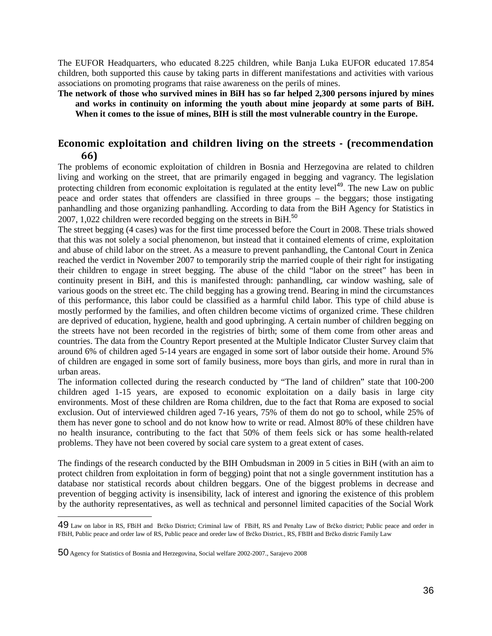The EUFOR Headquarters, who educated 8.225 children, while Banja Luka EUFOR educated 17.854 children, both supported this cause by taking parts in different manifestations and activities with various associations on promoting programs that raise awareness on the perils of mines.

**The network of those who survived mines in BiH has so far helped 2,300 persons injured by mines and works in continuity on informing the youth about mine jeopardy at some parts of BiH. When it comes to the issue of mines, BIH is still the most vulnerable country in the Europe.**

## **Economic exploitation and children living on the streets - (recommendation 66)**

The problems of economic exploitation of children in Bosnia and Herzegovina are related to children living and working on the street, that are primarily engaged in begging and vagrancy. The legislation protecting children from economic exploitation is regulated at the entity level<sup>49</sup>. The new Law on public peace and order states that offenders are classified in three groups – the beggars; those instigating panhandling and those organizing panhandling. According to data from the BiH Agency for Statistics in 2007, 1,022 children were recorded begging on the streets in  $\text{BiH}^{50}$ .

The street begging (4 cases) was for the first time processed before the Court in 2008. These trials showed that this was not solely a social phenomenon, but instead that it contained elements of crime, exploitation and abuse of child labor on the street. As a measure to prevent panhandling, the Cantonal Court in Zenica reached the verdict in November 2007 to temporarily strip the married couple of their right for instigating their children to engage in street begging. The abuse of the child "labor on the street" has been in continuity present in BiH, and this is manifested through: panhandling, car window washing, sale of various goods on the street etc. The child begging has a growing trend. Bearing in mind the circumstances of this performance, this labor could be classified as a harmful child labor. This type of child abuse is mostly performed by the families, and often children become victims of organized crime. These children are deprived of education, hygiene, health and good upbringing. A certain number of children begging on the streets have not been recorded in the registries of birth; some of them come from other areas and countries. The data from the Country Report presented at the Multiple Indicator Cluster Survey claim that around 6% of children aged 5-14 years are engaged in some sort of labor outside their home. Around 5% of children are engaged in some sort of family business, more boys than girls, and more in rural than in urban areas.

The information collected during the research conducted by "The land of children" state that 100-200 children aged 1-15 years, are exposed to economic exploitation on a daily basis in large city environments. Most of these children are Roma children, due to the fact that Roma are exposed to social exclusion. Out of interviewed children aged 7-16 years, 75% of them do not go to school, while 25% of them has never gone to school and do not know how to write or read. Almost 80% of these children have no health insurance, contributing to the fact that 50% of them feels sick or has some health-related problems. They have not been covered by social care system to a great extent of cases.

The findings of the research conducted by the BIH Ombudsman in 2009 in 5 cities in BiH (with an aim to protect children from exploitation in form of begging) point that not a single government institution has a database nor statistical records about children beggars. One of the biggest problems in decrease and prevention of begging activity is insensibility, lack of interest and ignoring the existence of this problem by the authority representatives, as well as technical and personnel limited capacities of the Social Work

<sup>49</sup> Law on labor in RS, FBiH and Brčko District; Criminal law of FBiH, RS and Penalty Law of Brčko district; Public peace and order in FBiH, Public peace and order law of RS, Public peace and oreder law of Brčko District., RS, FBIH and Brčko distric Family Law

<sup>50</sup> Agency for Statistics of Bosnia and Herzegovina, Social welfare 2002-2007., Sarajevo 2008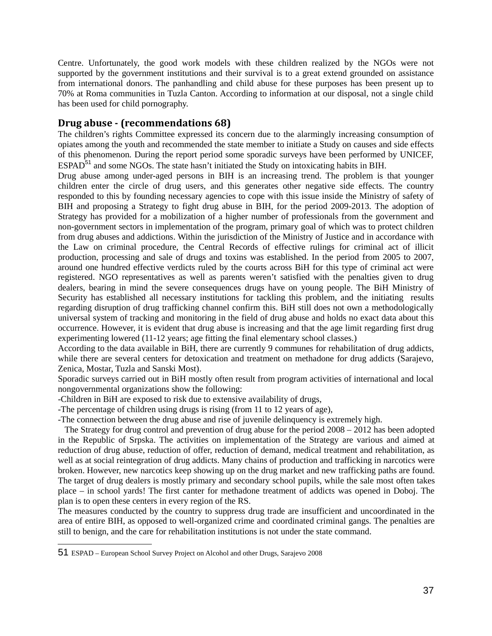Centre. Unfortunately, the good work models with these children realized by the NGOs were not supported by the government institutions and their survival is to a great extend grounded on assistance from international donors. The panhandling and child abuse for these purposes has been present up to 70% at Roma communities in Tuzla Canton. According to information at our disposal, not a single child has been used for child pornography.

## **Drug abuse - (recommendations 68)**

The children's rights Committee expressed its concern due to the alarmingly increasing consumption of opiates among the youth and recommended the state member to initiate a Study on causes and side effects of this phenomenon. During the report period some sporadic surveys have been performed by UNICEF, ESPAD<sup>51</sup> and some NGOs. The state hasn't initiated the Study on intoxicating habits in BIH.

Drug abuse among under-aged persons in BIH is an increasing trend. The problem is that younger children enter the circle of drug users, and this generates other negative side effects. The country responded to this by founding necessary agencies to cope with this issue inside the Ministry of safety of BIH and proposing a Strategy to fight drug abuse in BIH, for the period 2009-2013. The adoption of Strategy has provided for a mobilization of a higher number of professionals from the government and non-government sectors in implementation of the program, primary goal of which was to protect children from drug abuses and addictions. Within the jurisdiction of the Ministry of Justice and in accordance with the Law on criminal procedure, the Central Records of effective rulings for criminal act of illicit production, processing and sale of drugs and toxins was established. In the period from 2005 to 2007, around one hundred effective verdicts ruled by the courts across BiH for this type of criminal act were registered. NGO representatives as well as parents weren't satisfied with the penalties given to drug dealers, bearing in mind the severe consequences drugs have on young people. The BiH Ministry of Security has established all necessary institutions for tackling this problem, and the initiating results regarding disruption of drug trafficking channel confirm this. BiH still does not own a methodologically universal system of tracking and monitoring in the field of drug abuse and holds no exact data about this occurrence. However, it is evident that drug abuse is increasing and that the age limit regarding first drug experimenting lowered (11-12 years; age fitting the final elementary school classes.)

According to the data available in BiH, there are currently 9 communes for rehabilitation of drug addicts, while there are several centers for detoxication and treatment on methadone for drug addicts (Sarajevo, Zenica, Mostar, Tuzla and Sanski Most).

Sporadic surveys carried out in BiH mostly often result from program activities of international and local nongovernmental organizations show the following:

-Children in BiH are exposed to risk due to extensive availability of drugs,

-The percentage of children using drugs is rising (from 11 to 12 years of age),

-The connection between the drug abuse and rise of juvenile delinquency is extremely high.

 The Strategy for drug control and prevention of drug abuse for the period 2008 – 2012 has been adopted in the Republic of Srpska. The activities on implementation of the Strategy are various and aimed at reduction of drug abuse, reduction of offer, reduction of demand, medical treatment and rehabilitation, as well as at social reintegration of drug addicts. Many chains of production and trafficking in narcotics were broken. However, new narcotics keep showing up on the drug market and new trafficking paths are found. The target of drug dealers is mostly primary and secondary school pupils, while the sale most often takes place – in school yards! The first canter for methadone treatment of addicts was opened in Doboj. The plan is to open these centers in every region of the RS.

The measures conducted by the country to suppress drug trade are insufficient and uncoordinated in the area of entire BIH, as opposed to well-organized crime and coordinated criminal gangs. The penalties are still to benign, and the care for rehabilitation institutions is not under the state command.

<sup>51</sup> ESPAD – European School Survey Project on Alcohol and other Drugs, Sarajevo 2008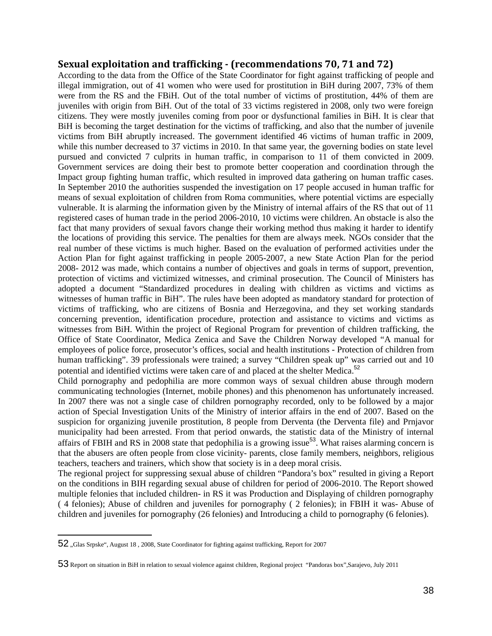#### **Sexual exploitation and trafficking - (recommendations 70, 71 and 72)**

According to the data from the Office of the State Coordinator for fight against trafficking of people and illegal immigration, out of 41 women who were used for prostitution in BiH during 2007, 73% of them were from the RS and the FBiH. Out of the total number of victims of prostitution, 44% of them are juveniles with origin from BiH. Out of the total of 33 victims registered in 2008, only two were foreign citizens. They were mostly juveniles coming from poor or dysfunctional families in BiH. It is clear that BiH is becoming the target destination for the victims of trafficking, and also that the number of juvenile victims from BiH abruptly increased. The government identified 46 victims of human traffic in 2009, while this number decreased to 37 victims in 2010. In that same year, the governing bodies on state level pursued and convicted 7 culprits in human traffic, in comparison to 11 of them convicted in 2009. Government services are doing their best to promote better cooperation and coordination through the Impact group fighting human traffic, which resulted in improved data gathering on human traffic cases. In September 2010 the authorities suspended the investigation on 17 people accused in human traffic for means of sexual exploitation of children from Roma communities, where potential victims are especially vulnerable. It is alarming the information given by the Ministry of internal affairs of the RS that out of 11 registered cases of human trade in the period 2006-2010, 10 victims were children. An obstacle is also the fact that many providers of sexual favors change their working method thus making it harder to identify the locations of providing this service. The penalties for them are always meek. NGOs consider that the real number of these victims is much higher. Based on the evaluation of performed activities under the Action Plan for fight against trafficking in people 2005-2007, a new State Action Plan for the period 2008- 2012 was made, which contains a number of objectives and goals in terms of support, prevention, protection of victims and victimized witnesses, and criminal prosecution. The Council of Ministers has adopted a document "Standardized procedures in dealing with children as victims and victims as witnesses of human traffic in BiH". The rules have been adopted as mandatory standard for protection of victims of trafficking, who are citizens of Bosnia and Herzegovina, and they set working standards concerning prevention, identification procedure, protection and assistance to victims and victims as witnesses from BiH. Within the project of Regional Program for prevention of children trafficking, the Office of State Coordinator, Medica Zenica and Save the Children Norway developed "A manual for employees of police force, prosecutor's offices, social and health institutions - Protection of children from human trafficking". 39 professionals were trained; a survey "Children speak up" was carried out and 10 potential and identified victims were taken care of and placed at the shelter Medica.<sup>52</sup>

Child pornography and pedophilia are more common ways of sexual children abuse through modern communicating technologies (Internet, mobile phones) and this phenomenon has unfortunately increased. In 2007 there was not a single case of children pornography recorded, only to be followed by a major action of Special Investigation Units of the Ministry of interior affairs in the end of 2007. Based on the suspicion for organizing juvenile prostitution, 8 people from Derventa (the Derventa file) and Prnjavor municipality had been arrested. From that period onwards, the statistic data of the Ministry of internal affairs of FBIH and RS in 2008 state that pedophilia is a growing issue<sup>53</sup>. What raises alarming concern is that the abusers are often people from close vicinity- parents, close family members, neighbors, religious teachers, teachers and trainers, which show that society is in a deep moral crisis.

The regional project for suppressing sexual abuse of children "Pandora's box" resulted in giving a Report on the conditions in BIH regarding sexual abuse of children for period of 2006-2010. The Report showed multiple felonies that included children- in RS it was Production and Displaying of children pornography ( 4 felonies); Abuse of children and juveniles for pornography ( 2 felonies); in FBIH it was- Abuse of children and juveniles for pornography (26 felonies) and Introducing a child to pornography (6 felonies).

<sup>52 &</sup>quot;Glas Srpske", August 18, 2008, State Coordinator for fighting against trafficking, Report for 2007

<sup>53</sup> Report on situation in BiH in relation to sexual violence against children, Regional project "Pandoras box",Sarajevo, July 2011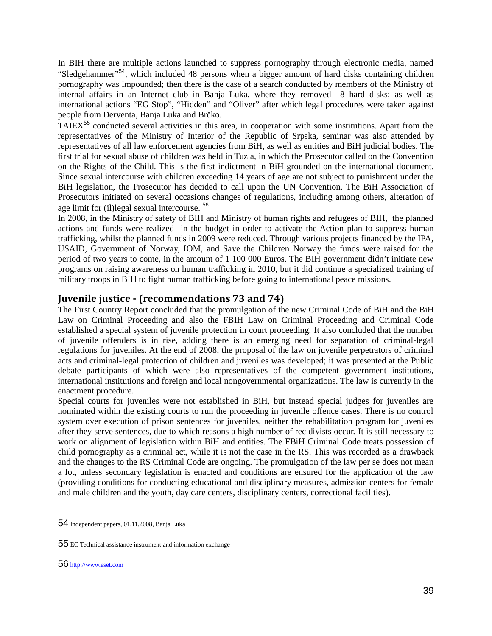In BIH there are multiple actions launched to suppress pornography through electronic media, named "Sledgehammer"<sup>54</sup>, which included 48 persons when a bigger amount of hard disks containing children pornography was impounded; then there is the case of a search conducted by members of the Ministry of internal affairs in an Internet club in Banja Luka, where they removed 18 hard disks; as well as international actions "EG Stop", "Hidden" and "Oliver" after which legal procedures were taken against people from Derventa, Banja Luka and Brčko.

TAIEX<sup>55</sup> conducted several activities in this area, in cooperation with some institutions. Apart from the representatives of the Ministry of Interior of the Republic of Srpska, seminar was also attended by representatives of all law enforcement agencies from BiH, as well as entities and BiH judicial bodies. The first trial for sexual abuse of children was held in Tuzla, in which the Prosecutor called on the Convention on the Rights of the Child. This is the first indictment in BiH grounded on the international document. Since sexual intercourse with children exceeding 14 years of age are not subject to punishment under the BiH legislation, the Prosecutor has decided to call upon the UN Convention. The BiH Association of Prosecutors initiated on several occasions changes of regulations, including among others, alteration of age limit for (il)legal sexual intercourse. <sup>56</sup>

In 2008, in the Ministry of safety of BIH and Ministry of human rights and refugees of BIH, the planned actions and funds were realized in the budget in order to activate the Action plan to suppress human trafficking, whilst the planned funds in 2009 were reduced. Through various projects financed by the IPA, USAID, Government of Norway, IOM, and Save the Children Norway the funds were raised for the period of two years to come, in the amount of 1 100 000 Euros. The BIH government didn't initiate new programs on raising awareness on human trafficking in 2010, but it did continue a specialized training of military troops in BIH to fight human trafficking before going to international peace missions.

## **Juvenile justice - (recommendations 73 and 74)**

The First Country Report concluded that the promulgation of the new Criminal Code of BiH and the BiH Law on Criminal Proceeding and also the FBIH Law on Criminal Proceeding and Criminal Code established a special system of juvenile protection in court proceeding. It also concluded that the number of juvenile offenders is in rise, adding there is an emerging need for separation of criminal-legal regulations for juveniles. At the end of 2008, the proposal of the law on juvenile perpetrators of criminal acts and criminal-legal protection of children and juveniles was developed; it was presented at the Public debate participants of which were also representatives of the competent government institutions, international institutions and foreign and local nongovernmental organizations. The law is currently in the enactment procedure.

Special courts for juveniles were not established in BiH, but instead special judges for juveniles are nominated within the existing courts to run the proceeding in juvenile offence cases. There is no control system over execution of prison sentences for juveniles, neither the rehabilitation program for juveniles after they serve sentences, due to which reasons a high number of recidivists occur. It is still necessary to work on alignment of legislation within BiH and entities. The FBiH Criminal Code treats possession of child pornography as a criminal act, while it is not the case in the RS. This was recorded as a drawback and the changes to the RS Criminal Code are ongoing. The promulgation of the law per se does not mean a lot, unless secondary legislation is enacted and conditions are ensured for the application of the law (providing conditions for conducting educational and disciplinary measures, admission centers for female and male children and the youth, day care centers, disciplinary centers, correctional facilities).

<sup>54</sup> Independent papers, 01.11.2008, Banja Luka

<sup>55</sup> EC Technical assistance instrument and information exchange

<sup>56</sup> http://www.eset.com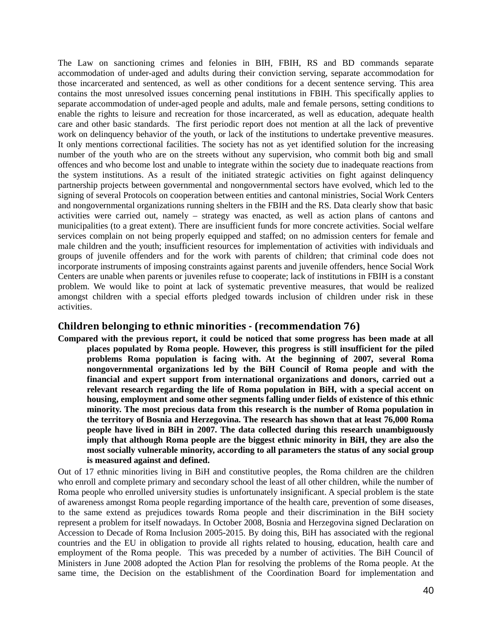The Law on sanctioning crimes and felonies in BIH, FBIH, RS and BD commands separate accommodation of under-aged and adults during their conviction serving, separate accommodation for those incarcerated and sentenced, as well as other conditions for a decent sentence serving. This area contains the most unresolved issues concerning penal institutions in FBIH. This specifically applies to separate accommodation of under-aged people and adults, male and female persons, setting conditions to enable the rights to leisure and recreation for those incarcerated, as well as education, adequate health care and other basic standards. The first periodic report does not mention at all the lack of preventive work on delinquency behavior of the youth, or lack of the institutions to undertake preventive measures. It only mentions correctional facilities. The society has not as yet identified solution for the increasing number of the youth who are on the streets without any supervision, who commit both big and small offences and who become lost and unable to integrate within the society due to inadequate reactions from the system institutions. As a result of the initiated strategic activities on fight against delinquency partnership projects between governmental and nongovernmental sectors have evolved, which led to the signing of several Protocols on cooperation between entities and cantonal ministries, Social Work Centers and nongovernmental organizations running shelters in the FBIH and the RS. Data clearly show that basic activities were carried out, namely – strategy was enacted, as well as action plans of cantons and municipalities (to a great extent). There are insufficient funds for more concrete activities. Social welfare services complain on not being properly equipped and staffed; on no admission centers for female and male children and the youth; insufficient resources for implementation of activities with individuals and groups of juvenile offenders and for the work with parents of children; that criminal code does not incorporate instruments of imposing constraints against parents and juvenile offenders, hence Social Work Centers are unable when parents or juveniles refuse to cooperate; lack of institutions in FBIH is a constant problem. We would like to point at lack of systematic preventive measures, that would be realized amongst children with a special efforts pledged towards inclusion of children under risk in these activities.

#### **Children belonging to ethnic minorities - (recommendation 76)**

**Compared with the previous report, it could be noticed that some progress has been made at all places populated by Roma people. However, this progress is still insufficient for the piled problems Roma population is facing with. At the beginning of 2007, several Roma nongovernmental organizations led by the BiH Council of Roma people and with the financial and expert support from international organizations and donors, carried out a relevant research regarding the life of Roma population in BiH, with a special accent on housing, employment and some other segments falling under fields of existence of this ethnic minority. The most precious data from this research is the number of Roma population in the territory of Bosnia and Herzegovina. The research has shown that at least 76,000 Roma people have lived in BiH in 2007. The data collected during this research unambiguously imply that although Roma people are the biggest ethnic minority in BiH, they are also the most socially vulnerable minority, according to all parameters the status of any social group is measured against and defined.** 

Out of 17 ethnic minorities living in BiH and constitutive peoples, the Roma children are the children who enroll and complete primary and secondary school the least of all other children, while the number of Roma people who enrolled university studies is unfortunately insignificant. A special problem is the state of awareness amongst Roma people regarding importance of the health care, prevention of some diseases, to the same extend as prejudices towards Roma people and their discrimination in the BiH society represent a problem for itself nowadays. In October 2008, Bosnia and Herzegovina signed Declaration on Accession to Decade of Roma Inclusion 2005-2015. By doing this, BiH has associated with the regional countries and the EU in obligation to provide all rights related to housing, education, health care and employment of the Roma people. This was preceded by a number of activities. The BiH Council of Ministers in June 2008 adopted the Action Plan for resolving the problems of the Roma people. At the same time, the Decision on the establishment of the Coordination Board for implementation and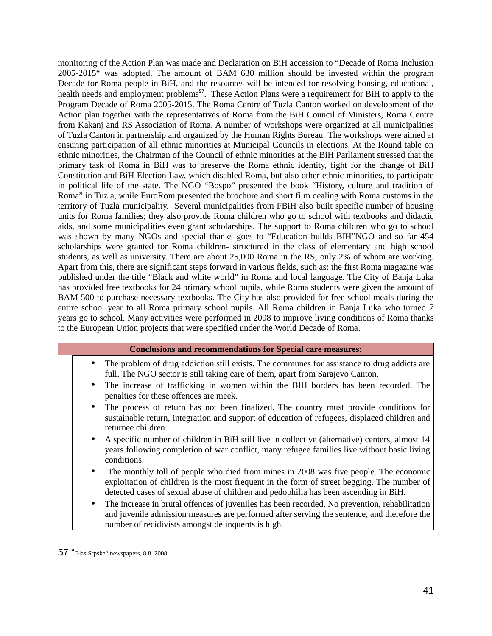monitoring of the Action Plan was made and Declaration on BiH accession to "Decade of Roma Inclusion 2005-2015" was adopted. The amount of BAM 630 million should be invested within the program Decade for Roma people in BiH, and the resources will be intended for resolving housing, educational, health needs and employment problems<sup>57</sup>. These Action Plans were a requirement for BiH to apply to the Program Decade of Roma 2005-2015. The Roma Centre of Tuzla Canton worked on development of the Action plan together with the representatives of Roma from the BiH Council of Ministers, Roma Centre from Kakanj and RS Association of Roma. A number of workshops were organized at all municipalities of Tuzla Canton in partnership and organized by the Human Rights Bureau. The workshops were aimed at ensuring participation of all ethnic minorities at Municipal Councils in elections. At the Round table on ethnic minorities, the Chairman of the Council of ethnic minorities at the BiH Parliament stressed that the primary task of Roma in BiH was to preserve the Roma ethnic identity, fight for the change of BiH Constitution and BiH Election Law, which disabled Roma, but also other ethnic minorities, to participate in political life of the state. The NGO "Bospo" presented the book "History, culture and tradition of Roma" in Tuzla, while EuroRom presented the brochure and short film dealing with Roma customs in the territory of Tuzla municipality. Several municipalities from FBiH also built specific number of housing units for Roma families; they also provide Roma children who go to school with textbooks and didactic aids, and some municipalities even grant scholarships. The support to Roma children who go to school was shown by many NGOs and special thanks goes to "Education builds BIH"NGO and so far 454 scholarships were granted for Roma children- structured in the class of elementary and high school students, as well as university. There are about 25,000 Roma in the RS, only 2% of whom are working. Apart from this, there are significant steps forward in various fields, such as: the first Roma magazine was published under the title "Black and white world" in Roma and local language. The City of Banja Luka has provided free textbooks for 24 primary school pupils, while Roma students were given the amount of BAM 500 to purchase necessary textbooks. The City has also provided for free school meals during the entire school year to all Roma primary school pupils. All Roma children in Banja Luka who turned 7 years go to school. Many activities were performed in 2008 to improve living conditions of Roma thanks to the European Union projects that were specified under the World Decade of Roma.

#### **Conclusions and recommendations for Special care measures:**

- The problem of drug addiction still exists. The communes for assistance to drug addicts are full. The NGO sector is still taking care of them, apart from Sarajevo Canton.
- The increase of trafficking in women within the BIH borders has been recorded. The penalties for these offences are meek.
- The process of return has not been finalized. The country must provide conditions for sustainable return, integration and support of education of refugees, displaced children and returnee children.
- A specific number of children in BiH still live in collective (alternative) centers, almost 14 years following completion of war conflict, many refugee families live without basic living conditions.
- The monthly toll of people who died from mines in 2008 was five people. The economic exploitation of children is the most frequent in the form of street begging. The number of detected cases of sexual abuse of children and pedophilia has been ascending in BiH.
- The increase in brutal offences of juveniles has been recorded. No prevention, rehabilitation and juvenile admission measures are performed after serving the sentence, and therefore the number of recidivists amongst delinquents is high.

<sup>57 &</sup>quot;Glas Srpske" newspapers, 8.8. 2008.